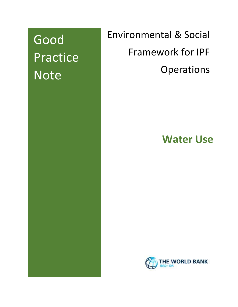Good Practice Note

Environmental & Social Framework for IPF **Operations** 

**Water Use**

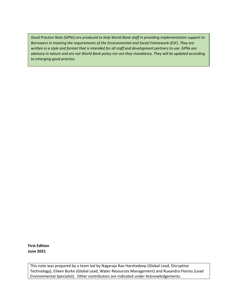*Good Practice Note (GPNs) are produced to help World Bank staff in providing implementation support to Borrowers in meeting the requirements of the Environmental and Social Framework (ESF). They are written in a style and format that is intended for all staff and development partners to use. GPNs are advisory in nature and are not World Bank policy nor are they mandatory. They will be updated according to emerging good practice.*

**First Edition June 2021**

This note was prepared by a team led by Nagaraja Rao Harshadeep (Global Lead, Disruptive Technology), Eileen Burke (Global Lead, Water Resources Management) and Ruxandra Floroiu (Lead Environmental Specialist). Other contributors are indicated under Acknowledgements.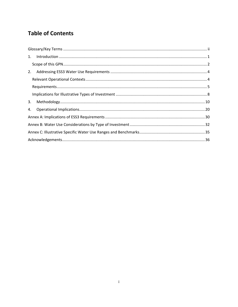# **Table of Contents**

| 1. |  |
|----|--|
|    |  |
| 2. |  |
|    |  |
|    |  |
|    |  |
| 3. |  |
| 4. |  |
|    |  |
|    |  |
|    |  |
|    |  |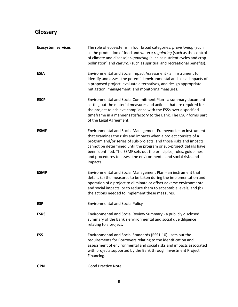# <span id="page-3-0"></span>**Glossary**

| <b>Ecosystem services</b> | The role of ecosystems in four broad categories: provisioning (such<br>as the production of food and water); regulating (such as the control<br>of climate and disease); supporting (such as nutrient cycles and crop<br>pollination) and cultural (such as spiritual and recreational benefits).                                                                                                                                    |
|---------------------------|--------------------------------------------------------------------------------------------------------------------------------------------------------------------------------------------------------------------------------------------------------------------------------------------------------------------------------------------------------------------------------------------------------------------------------------|
| <b>ESIA</b>               | Environmental and Social Impact Assessment - an instrument to<br>identify and assess the potential environmental and social impacts of<br>a proposed project, evaluate alternatives, and design appropriate<br>mitigation, management, and monitoring measures.                                                                                                                                                                      |
| <b>ESCP</b>               | Environmental and Social Commitment Plan - a summary document<br>setting out the material measures and actions that are required for<br>the project to achieve compliance with the ESSs over a specified<br>timeframe in a manner satisfactory to the Bank. The ESCP forms part<br>of the Legal Agreement.                                                                                                                           |
| <b>ESMF</b>               | Environmental and Social Management Framework - an instrument<br>that examines the risks and impacts when a project consists of a<br>program and/or series of sub-projects, and those risks and impacts<br>cannot be determined until the program or sub-project details have<br>been identified. The ESMF sets out the principles, rules, guidelines<br>and procedures to assess the environmental and social risks and<br>impacts. |
| <b>ESMP</b>               | Environmental and Social Management Plan - an instrument that<br>details (a) the measures to be taken during the implementation and<br>operation of a project to eliminate or offset adverse environmental<br>and social impacts, or to reduce them to acceptable levels; and (b)<br>the actions needed to implement these measures.                                                                                                 |
| <b>ESP</b>                | <b>Environmental and Social Policy</b>                                                                                                                                                                                                                                                                                                                                                                                               |
| <b>ESRS</b>               | Environmental and Social Review Summary - a publicly disclosed<br>summary of the Bank's environmental and social due diligence<br>relating to a project.                                                                                                                                                                                                                                                                             |
| <b>ESS</b>                | Environmental and Social Standards (ESS1-10) - sets out the<br>requirements for Borrowers relating to the identification and<br>assessment of environmental and social risks and impacts associated<br>with projects supported by the Bank through Investment Project<br>Financing.                                                                                                                                                  |
| <b>GPN</b>                | <b>Good Practice Note</b>                                                                                                                                                                                                                                                                                                                                                                                                            |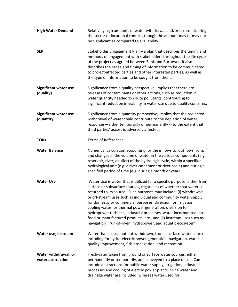| <b>High Water Demand</b>                   | Relatively high amounts of water withdrawal and/or use considering<br>the sector or locational context, though the amount may or may not<br>be significant as compared to availability.                                                                                                                                                                                                                                                                                                                                                                                                                                             |
|--------------------------------------------|-------------------------------------------------------------------------------------------------------------------------------------------------------------------------------------------------------------------------------------------------------------------------------------------------------------------------------------------------------------------------------------------------------------------------------------------------------------------------------------------------------------------------------------------------------------------------------------------------------------------------------------|
| <b>SEP</b>                                 | Stakeholder Engagement Plan $-$ a plan that describes the timing and<br>methods of engagement with stakeholders throughout the life cycle<br>of the project as agreed between Bank and Borrower. It also<br>describes the range and timing of information to be communicated<br>to project-affected parties and other interested parties, as well as<br>the type of information to be sought from them.                                                                                                                                                                                                                             |
| <b>Significant water use</b><br>(quality)  | Significance from a quality perspective, implies that there are<br>releases of contaminants or other actions, such as reduction in<br>water quantity needed to dilute pollutants, contributing to<br>significant reduction in viability in water use due to quality concerns.                                                                                                                                                                                                                                                                                                                                                       |
| <b>Significant water use</b><br>(quantity) | Significance from a quantity perspective, implies that the projected<br>withdrawal of water could contribute to the depletion of water<br>resources-either temporarily or permanently -- to the extent that<br>third parties' access is adversely affected.                                                                                                                                                                                                                                                                                                                                                                         |
| <b>TORs</b>                                | <b>Terms of References</b>                                                                                                                                                                                                                                                                                                                                                                                                                                                                                                                                                                                                          |
| <b>Water Balance</b>                       | Numerical calculation accounting for the inflows to, outflows from,<br>and changes in the volume of water in the various components (e.g.<br>reservoir, river, aquifer) of the hydrologic cycle, within a specified<br>hydrological unit (e.g. a river catchment or river basin) and during a<br>specified period of time (e.g. during a month or year).                                                                                                                                                                                                                                                                            |
| <b>Water Use</b>                           | Water Use is water that is utilized for a specific purpose; either from<br>surface or subsurface sources, regardless of whether that water is<br>returned to its source. Such purposes may include: (i) withdrawals<br>or off-stream uses such as individual and community water supply<br>for domestic or commercial purposes, diversion for irrigation,<br>cooling water for thermal power generation, diversion for<br>hydropower turbines, industrial processes, water incorporated into<br>food or manufactured products, etc., and (ii) instream uses such as<br>navigation "run-of-river" hydropower, and aquatic ecosystem. |
| Water use; instream                        | Water that is used but not withdrawn, from a surface-water source<br>including for hydro-electric power generation, navigation, water-<br>quality improvement, fish propagation, and recreation.                                                                                                                                                                                                                                                                                                                                                                                                                                    |
| Water withdrawal, or<br>water abstraction  | Freshwater taken from ground or surface water sources, either<br>permanently or temporarily, and conveyed to a place of use. Can<br>include abstractions for public water supply, irrigation, industrial<br>processes and cooling of electric power plants. Mine water and<br>drainage water are included, whereas water used for                                                                                                                                                                                                                                                                                                   |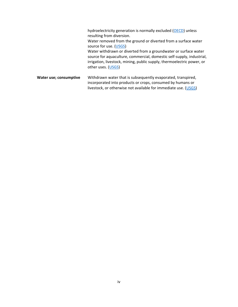hydroelectricity generation is normally excluded [\(OECD\)](https://doi.org/10.1787/17729979-en) unless resulting from diversion. Water removed from the ground or diverted from a surface water source for use. [\(USGS\)](https://www.usgs.gov/mission-areas/water-resources/science/water-use-terminology?qt-science_center_objects=0#qt-science_center_objects) Water withdrawn or diverted from a groundwater or surface water source for aquaculture, commercial, domestic self-supply, industrial, irrigation, livestock, mining, public supply, thermoelectric power, or other uses. [\(USGS\)](https://www.usgs.gov/special-topic/water-science-school/science/dictionary-water-terms?qt-science_center_objects=0#qt-science_center_objects)

**Water use; consumptive** Withdrawn water that is subsequently evaporated, transpired, incorporated into products or crops, consumed by humans or livestock, or otherwise not available for immediate use. [\(USGS\)](https://www.usgs.gov/mission-areas/water-resources/science/water-use-terminology?qt-science_center_objects=0#qt-science_center_objects)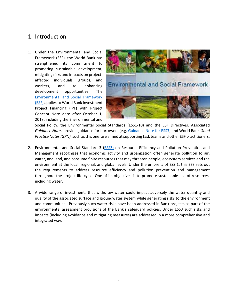# <span id="page-6-0"></span>1. Introduction

1. Under the Environmental and Social Framework (ESF), the World Bank has strengthened its commitment to promoting sustainable development, mitigating risks and impacts on projectaffected individuals, groups, and workers, and to enhancing development opportunities. The [Environmental and Social Framework](http://pubdocs.worldbank.org/en/837721522762050108/Environmental-and-Social-Framework.pdf)  [\(ESF\)](http://pubdocs.worldbank.org/en/837721522762050108/Environmental-and-Social-Framework.pdf) applies to World Bank Investment Project Financing (IPF) with Project Concept Note date after October 1, 2018, including the Environmental and



Social Policy, the Environmental Social Standards (ESS1-10) and the ESF Directives. Associated *Guidance Notes* provide guidance for borrowers (e.g. [Guidance Note for ESS3\)](http://pubdocs.worldbank.org/en/112401530216856982/ESF-GN3-June-2018.pdf) and World Bank *Good Practice Notes (GPN),* such as this one, are aimed at supporting task teams and other ESF practitioners.

- 2. Environmental and Social Standard 3 [\(ESS3\)](http://pubdocs.worldbank.org/en/137471511809511045/ESS3-FactSheet-WB-ESF.pdf) on Resource Efficiency and Pollution Prevention and Management recognizes that economic activity and urbanization often generate pollution to air, water, and land, and consume finite resources that may threaten people, ecosystem services and the environment at the local, regional, and global levels. Under the umbrella of ESS 1, this ESS sets out the requirements to address resource efficiency and pollution prevention and management throughout the project life cycle. One of its objectives is to promote sustainable use of resources, including water.
- 3. A wide range of investments that withdraw water could impact adversely the water quantity and quality of the associated surface and groundwater system while generating risks to the environment and communities. Previously such water risks have been addressed in Bank projects as part of the environmental assessment provisions of the Bank's safeguard policies. Under ESS3 such risks and impacts (including avoidance and mitigating measures) are addressed in a more comprehensive and integrated way.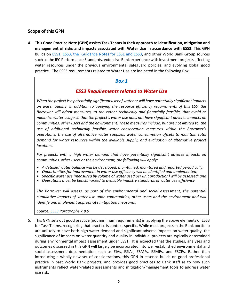### <span id="page-7-0"></span>Scope of this GPN

4. **This Good Practice Note (GPN) assists Task Teams in their approach to identification, mitigation and management of risks and impacts associated with Water Use in accordance with ESS3.** This GPN builds on [ESS1,](http://www.worldbank.org/en/projects-operations/environmental-and-social-framework/brief/environmental-and-social-standards) ESS3, [the Guidance Notes](http://pubdocs.worldbank.org/en/112401530216856982/ESF-GN3-June-2018.pdf) for ESS1 and ESS3, and other World Bank Group sources such as the IFC Performance Standards, extensive Bank experience with investment projects affecting water resources under the previous environmental safeguard policies, and evolving global good practice. The ESS3 requirements related to Water Use are indicated in the following Box.

#### *Box 1*

## *ESS3 Requirements related to Water Use*

*When the project is a potentially significant user of water or will have potentially significant impacts on water quality, in addition to applying the resource efficiency requirements of this ESS, the Borrower will adopt measures, to the extent technically and financially feasible, that avoid or minimize water usage so that the project's water use does not have significant adverse impacts on communities, other users and the environment. These measures include, but are not limited to, the use of additional technically feasible water conservation measures within the Borrower's operations, the use of alternative water supplies, water consumption offsets to maintain total demand for water resources within the available supply, and evaluation of alternative project locations.* 

*For projects with a high water demand that have potentially significant adverse impacts on communities, other users or the environment, the following will apply:*

- *A detailed water balance will be developed, maintained, monitored and reported periodically;*
- *Opportunities for improvement in water use efficiency will be identified and implemented;*
- *Specific water use (measured by volume of water used per unit production) will be assessed; and*
- *Operations must be benchmarked to available industry standards of water use efficiency.*

*The Borrower will assess, as part of the environmental and social assessment, the potential cumulative impacts of water use upon communities, other users and the environment and will identify and implement appropriate mitigation measures.*

*Source: [ESS3](http://pubdocs.worldbank.org/en/837721522762050108/Environmental-and-Social-Framework.pdf#page=53&zoom=80) Paragraphs 7,8,9*

5. This GPN sets out good practice (not minimum requirements) in applying the above elements of ESS3 for Task Teams, recognizing that practice is context-specific. While most projects in the Bank portfolio are unlikely to have both high water demand and significant adverse impacts on water quality, the significance of impacts on water quantity and quality in individual projects are typically determined during environmental impact assessment under ESS1. It is expected that the studies, analyses and outcomes discussed in this GPN will largely be incorporated into well-established environmental and social assessment documentation such as EIAs, ESIAs, ESMFs, ESMPs, and ESCPs. Rather than introducing a wholly new set of considerations, this GPN in essence builds on good professional practice in past World Bank projects, and provides good practices to Bank staff as to how such instruments reflect water-related assessments and mitigation/management tools to address water use risk.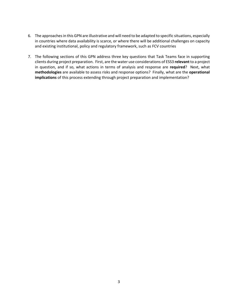- 6. The approaches in this GPN are illustrative and will need to be adapted to specific situations, especially in countries where data availability is scarce, or where there will be additional challenges on capacity and existing institutional, policy and regulatory framework, such as FCV countries
- 7. The following sections of this GPN address three key questions that Task Teams face in supporting clients during project preparation. First, are the water use considerations of ESS3 **relevant**to a project in question, and if so, what actions in terms of analysis and response are **required**? Next, what **methodologies** are available to assess risks and response options? Finally, what are the **operational implications** of this process extending through project preparation and implementation?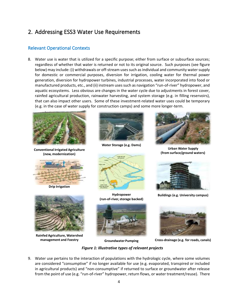# <span id="page-9-0"></span>2. Addressing ESS3 Water Use Requirements

### <span id="page-9-1"></span>Relevant Operational Contexts

8. Water use is water that is utilized for a specific purpose; either from surface or subsurface sources; regardless of whether that water is returned or not to its original source. Such purposes (see figure below) may include: (i) withdrawals or off-stream uses such as individual and community water supply for domestic or commercial purposes, diversion for irrigation, cooling water for thermal power generation, diversion for hydropower turbines, industrial processes, water incorporated into food or manufactured products, etc., and (ii) instream uses such as navigation "run-of-river" hydropower, and aquatic ecosystems. Less obvious are changes in the water cycle due to adjustments in forest cover, rainfed agricultural production, rainwater harvesting, and system storage (e.g. in filling reservoirs), that can also impact other users. Some of these investment-related water uses could be temporary (e.g. in the case of water supply for construction camps) and some more longer-term.



**Conventional Irrigated Agriculture (new, modernization)**



**Drip Irrigation**



**Rainfed Agriculture, Watershed management and Foestry**



**Water Storage (e.g. Dams)**



**Hydropower (run-of-river, storage backed)**





**Cross-drainage (e.g. for roads, canals)**

*Figure 1: Illustrative types of relevant projects* **Groundwater Pumping**

9. Water use pertains to the interaction of populations with the hydrologic cycle, where some volumes are considered "consumptive" if no longer available for use (e.g. evaporated, transpired or included in agricultural products) and "non-consumptive" if returned to surface or groundwater after release from the point of use (e.g. "run-of-river" hydropower, return flows, or water treatment/reuse). There



**Urban Water Supply (from surface/ground waters)**



**Buildings (e.g. University campus)**

4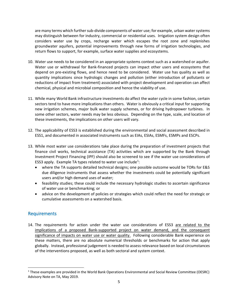are many terms which further sub-divide components of water use; for example, urban water systems may distinguish between for industry, commercial or residential uses. Irrigation system design often considers water use by crops, recharge water which escapes the root zone and replenishes groundwater aquifers, potential improvements through new forms of irrigation technologies, and return flows to support, for example, surface water supplies and ecosystems.

- 10. Water use needs to be considered in an appropriate systems context such as a watershed or aquifer. Water use or withdrawal for Bank-financed projects can impact other users and ecosystems that depend on pre-existing flows, and hence need to be considered. Water use has quality as well as quantity implications since hydrologic changes and pollution (either introduction of pollutants or reductions of impact from treatment) associated with project development and operation can affect chemical, physical and microbial composition and hence the viability of use.
- 11. While many World Bank infrastructure investments do affect the water cycle in some fashion, certain sectors tend to have more implications than others. Water is obviously a critical input for supporting new irrigation schemes, major bulk water supply schemes, or for driving hydropower turbines. In some other sectors, water needs may be less obvious. Depending on the type, scale, and location of these investments, the implications on other users will vary.
- 12. The applicability of ESS3 is established during the environmental and social assessment described in ESS1, and documented in associated instruments such as EIAs, ESIAs, ESMFs, ESMPs and ESCPs.
- 13. While most water use considerations take place during the preparation of investment projects that finance civil works, technical assistance (TA) activities which are supported by the Bank through Investment Project Financing (IPF) should also be screened to see if the water use considerations of ESS3 apply. Example TA types related to water use include<sup>1</sup>:
	- where the TA supports detailed technical designs; one possible outcome would be TORs for E&S due diligence instruments that assess whether the investments could be potentially significant users and/or high demand uses of water;
	- feasibility studies; these could include the necessary hydrologic studies to ascertain significance of water use or benchmarking; or
	- advice on the development of policies or strategies which could reflect the need for strategic or cumulative assessments on a watershed basis.

### <span id="page-10-0"></span>Requirements

14. The requirements for action under the water use considerations of ESS3 are related to the implications of a proposed Bank-supported project on water demand, and the consequent significance of impacts on water use or water quality. Following considerable Bank experience on these matters, there are no absolute numerical thresholds or benchmarks for action that apply globally. Instead, professional judgement is needed to assess relevance based on local circumstances of the interventions proposed, as well as both sectoral and system context.

<sup>1</sup> These examples are provided in the World Bank Operations Environmental and Social Review Committee (OESRC) Advisory Note on TA, May 2019.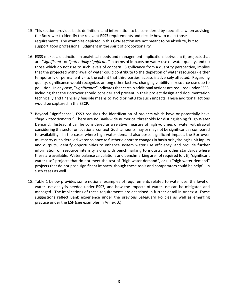- 15. This section provides basic definitions and information to be considered by specialists when advising the Borrower to identify the relevant ESS3 requirements and decide how to meet those requirements. The examples depicted in this GPN section are not meant to be absolute, but to support good professional judgment in the spirit of proportionality.
- 16. ESS3 makes a distinction in analytical needs and management implications between: (i) projects that are *"significant"* or *"potentially significant"* in terms of impacts on water use or water quality, and (ii) those which do not rise to such levels of concern. Significance from a quantity perspective, implies that the projected withdrawal of water could contribute to the depletion of water resources - either temporarily or permanently - to the extent that third parties' access is adversely affected. Regarding quality, significance would recognize, among other factors, changing viability in resource use due to pollution. In any case, "*significance*" indicates that certain additional actions are required under ESS3, including that the Borrower should consider and present in their project design and documentation technically and financially feasible means to avoid or mitigate such impacts. These additional actions would be captured in the ESCP.
- 17. Beyond "significance", ESS3 requires the identification of projects which have or potentially have *"high water demand."* There are no Bank-wide numerical thresholds for distinguishing "High Water Demand." Instead, it can be considered as a relative measure of high volumes of water withdrawal considering the sector or locational context. Such amounts may or may not be significant as compared to availability. In the cases where high water demand also poses significant impact, the Borrower must carry out a detailed water balance to further elaborate changes in basin or hydrologic unit inputs and outputs, identify opportunities to enhance system water use efficiency, and provide further information on resource intensity along with benchmarking to industry or other standards where these are available. Water balance calculations and benchmarking are not required for: (i) "significant water use" projects that do not meet the test of "high water demand", or (ii) "high water demand" projects that do not pose significant impacts, though these tools and comparators could be helpful in such cases as well.
- 18. Table 1 below provides some notional examples of requirements related to water use, the level of water use analysis needed under ESS3, and how the impacts of water use can be mitigated and managed. The implications of these requirements are described in further detail in Annex A. These suggestions reflect Bank experience under the previous Safeguard Policies as well as emerging practice under the ESF (see examples in Annex B.)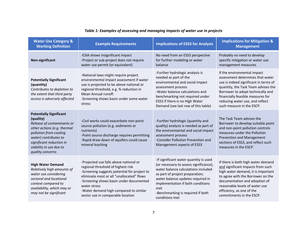| <b>Water Use Category &amp;</b><br><b>Working Definition</b>                                                                                                                                                                           | <b>Example Requirements</b>                                                                                                                                                                                                                                                                                         | <b>Implications of ESS3 for Analysis</b>                                                                                                                                                                                                                                                           | <b>Implications for Mitigation &amp;</b><br><b>Management</b>                                                                                                                                                                                                                             |
|----------------------------------------------------------------------------------------------------------------------------------------------------------------------------------------------------------------------------------------|---------------------------------------------------------------------------------------------------------------------------------------------------------------------------------------------------------------------------------------------------------------------------------------------------------------------|----------------------------------------------------------------------------------------------------------------------------------------------------------------------------------------------------------------------------------------------------------------------------------------------------|-------------------------------------------------------------------------------------------------------------------------------------------------------------------------------------------------------------------------------------------------------------------------------------------|
| Non-significant                                                                                                                                                                                                                        | -ESIA shows insignificant impact<br>-Project or sub-project does not require<br>water use permit (or equivalent)                                                                                                                                                                                                    | No need from an ESS3 perspective<br>for further modeling or water<br>balance                                                                                                                                                                                                                       | Probably no need to develop<br>specific mitigation or water use<br>management measures                                                                                                                                                                                                    |
| <b>Potentially Significant</b><br>(quantity)<br>Contributes to depletion to<br>the extent that third party<br>access is adversely affected                                                                                             | -National laws might require project<br>environmental impact assessment if water<br>use is projected to be above national or<br>regional threshold, e.g. % reduction in<br>Mean Annual runoff.<br>-Screening shows basin under some water<br>stress                                                                 | -Further hydrologic analysis is<br>needed as part of the<br>environmental and social impact<br>assessment process<br>-Water balance calculations and<br>benchmarking not required under<br>ESS3 if there is no High Water<br>Demand (see last row of this table)                                   | If the environmental impact<br>assessment determines that water<br>use is indeed significant in terms of<br>quantity, the Task Team advises the<br>Borrower to adopt technically and<br>financially feasible measures for<br>reducing water use, and reflect<br>such measure in the ESCP. |
| <b>Potentially Significant</b><br>(quality)<br>Release of contaminants or<br>other actions (e.g. thermal<br>pollution from cooling<br>water) contributes to<br>significant reduction in<br>viability in use due to<br>quality concerns | -Civil works could exacerbate non-point<br>source pollution (e.g. sediments or<br>nutrients)<br>-Point source discharge requires permitting<br>-Rapid draw down of aquifers could cause<br>mineral leaching                                                                                                         | -Further hydrologic (quantity and<br>quality) analysis is needed as part of<br>the environmental and social impact<br>assessment process<br>-Consider Pollution Prevention and<br>Management aspects of ESS3                                                                                       | The Task Team advises the<br>Borrower to develop suitable point<br>and non-point pollution controls<br>measures under the Pollution<br>Prevention and Management<br>sections of ESS3, and reflect such<br>measures in the ESCP.                                                           |
| <b>High Water Demand</b><br>Relatively high amounts of<br>water use considering<br>sectoral and locational<br>context compared to<br>availability, which may or<br>may not be significant                                              | -Projected use falls above national or<br>regional threshold of highest risk<br>-Screening suggests potential for project to<br>eliminate most or all "unallocated" flows<br>-Screening shows basin under documented<br>water stress<br>-Water demand high compared to similar<br>sector use in comparable location | -If significant water quantity is used<br>(or necessary to assess significance),<br>water balance calculations included<br>as part of project preparation;<br>water balance updates required in<br>implementation if both conditions<br>met<br>-Benchmarking is required if both<br>conditions met | If there is both high water demand<br>and significant impacts from such<br>high water demand, it is important<br>to agree with the Borrower on the<br>documentation and adoption of<br>reasonable levels of water use<br>efficiency, as one of the<br>commitments in the ESCP.            |

## *Table 1: Examples of assessing and managing impacts of water use in projects*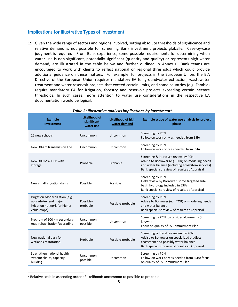#### <span id="page-13-0"></span>Implications for Illustrative Types of Investment

19. Given the wide range of sectors and regions involved, setting absolute thresholds of significance and relative demand is not possible for screening Bank investment projects globally. Case-by-case judgment is required. From Bank experience, some possible requirements for determining when water use is non-significant, potentially significant (quantity and quality) or represents high water demand, are illustrated in the table below and further outlined in Annex B. Bank teams are encouraged to work with clients to reflect national or regional thresholds which could provide additional guidance on these matters. For example, for projects in the European Union, the EIA Directive of the European Union requires mandatory EA for groundwater extraction, wastewater treatment and water reservoir projects that exceed certain limits, and some countries (e.g. Zambia) require mandatory EA for irrigation, forestry and reservoir projects exceeding certain hectare thresholds. In such cases, more attention to water use considerations in the respective EA documentation would be logical.

| <b>Example</b><br><b>Investment</b>                                                                     | Likelihood of<br>significant<br>water use | Likelihood of high<br>water demand | Example scope of water use analysis by project<br>phase                                                                                                                                       |
|---------------------------------------------------------------------------------------------------------|-------------------------------------------|------------------------------------|-----------------------------------------------------------------------------------------------------------------------------------------------------------------------------------------------|
| 12 new schools                                                                                          | Uncommon                                  | Uncommon                           | Screening by PCN<br>Follow-on work only as needed from ESIA                                                                                                                                   |
| New 30-km transmission line                                                                             | Uncommon                                  | Uncommon                           | Screening by PCN<br>Follow-on work only as needed from ESIA                                                                                                                                   |
| New 300 MW HPP with<br>storage                                                                          | Probable                                  | Probable                           | Screening & literature review by PCN<br>Advise to Borrower (e.g. TOR) on modeling needs<br>and water balance (including ecosystem services)<br>Bank specialist review of results at Appraisal |
| New small irrigation dams                                                                               | Possible                                  | Possible                           | Screening by PCN<br>Field review by Borrower; some targeted sub-<br>basin hydrology included in ESIA<br>Bank specialist review of results at Appraisal                                        |
| Irrigation Modernization (e.g.<br>upgrade/extend major<br>irrigation network for higher<br>value crops) | Possible-<br>probable                     | Possible-probable                  | Screening by PCN<br>Advise to Borrower (e.g. TOR) on modeling needs<br>and water balance<br>Bank specialist review of results at Appraisal                                                    |
| Program of 100 km secondary<br>road rehabilitation/upgrading                                            | Uncommon-<br>possible                     | Uncommon                           | Screening by PCN to consider alignments (if<br>known)<br>Focus on quality of ES Commitment Plan                                                                                               |
| New national park for<br>wetlands restoration                                                           | Probable                                  | Possible-probable                  | Screening & literature review by PCN<br>Advise to Borrower on specialized studies;<br>ecosystem and possibly water balance<br>Bank specialist review of results at Appraisal                  |
| Strengthen national health<br>system; clinics, capacity<br>building                                     | Uncommon-<br>possible                     | Uncommon                           | Screening by PCN<br>Follow-on work only as needed from ESIA; focus<br>on quality of ES Commitment Plan                                                                                        |
|                                                                                                         |                                           |                                    |                                                                                                                                                                                               |

#### *Table 2: Illustrative analysis implications by investment<sup>2</sup>*

<sup>&</sup>lt;sup>2</sup> Relative scale in ascending order of likelihood: uncommon to possible to probable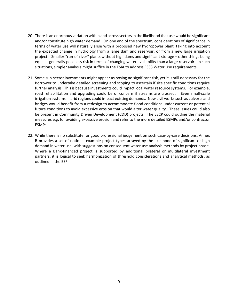- 20. There is an enormous variation within and across sectorsin the likelihood that use would be significant and/or constitute high water demand. On one end of the spectrum, considerations of significance in terms of water use will naturally arise with a proposed new hydropower plant, taking into account the expected change in hydrology from a large dam and reservoir, or from a new large irrigation project. Smaller "run-of-river" plants without high dams and significant storage – other things being equal -- generally pose less risk in terms of changing water availability than a large reservoir. In such situations, simpler analysis might suffice in the ESIA to address ESS3 Water Use requirements.
- 21. Some sub-sector investments might appear as posing no significant risk, yet it is still necessary for the Borrower to undertake detailed screening and scoping to ascertain if site specific conditions require further analysis. This is because investments could impact local water resource systems. For example, road rehabilitation and upgrading could be of concern if streams are crossed. Even small-scale irrigation systems in arid regions could impact existing demands. New civil works such as culverts and bridges would benefit from a redesign to accommodate flood conditions under current or potential future conditions to avoid excessive erosion that would alter water quality. These issues could also be present in Community Driven Development (CDD) projects. The ESCP could outline the material measures e.g. for avoiding excessive erosion and refer to the more detailed ESMPs and/or contractor ESMPs.
- 22. While there is no substitute for good professional judgement on such case-by-case decisions, Annex B provides a set of notional example project types arrayed by the likelihood of significant or high demand in water use, with suggestions on consequent water use analysis methods by project phase. Where a Bank-financed project is supported by additional bilateral or multilateral investment partners, it is logical to seek harmonization of threshold considerations and analytical methods, as outlined in the ESF.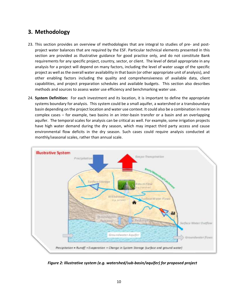# <span id="page-15-0"></span>**3. Methodology**

- 23. This section provides an overview of methodologies that are integral to studies of pre- and postproject water balances that are required by the ESF. Particular technical elements presented in this section are provided as illustrative guidance for good practice only, and do not constitute Bank requirements for any specific project, country, sector, or client. The level of detail appropriate in any analysis for a project will depend on many factors, including the level of water usage of the specific project as well as the overall water availability in that basin (or other appropriate unit of analysis), and other enabling factors including the quality and comprehensiveness of available data, client capabilities, and project preparation schedules and available budgets. This section also describes methods and sources to assess water use efficiency and benchmarking water use.
- 24. **System Definition:** For each investment and its location, it is important to define the appropriate systems boundary for analysis. This system could be a small aquifer, a watershed or a transboundary basin depending on the project location and water use context. It could also be a combination in more complex cases – for example, two basins in an inter-basin transfer or a basin and an overlapping aquifer. The temporal scales for analysis can be critical as well. For example, some irrigation projects have high water demand during the dry season, which may impact third party access and cause environmental flow deficits in the dry season. Such cases could require analysis conducted at monthly/seasonal scales, rather than annual scale.



*Figure 2: Illustrative system (e.g. watershed/sub-basin/aquifer) for proposed project*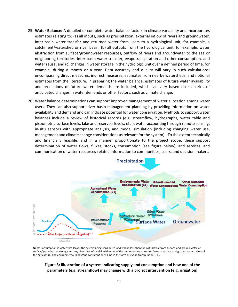- 25. **Water Balance:** A detailed or complete water balance factors in climate variability and incorporates estimates relating to: (a) all inputs, such as precipitation, external inflow of rivers and groundwater, inter-basin water transfer and returned water from users to a hydrological unit, for example, a catchment/watershed or river basin; (b) all outputs from the hydrological unit, for example, water abstraction from surface/groundwater resources, outflow of rivers and groundwater to the sea or neighboring territories, inter-basin water transfer, evapotranspiration and other consumption, and water reuse; and (c) changes in water storage in the hydrologic unit over a defined period of time, for example, during a month or a year. Data accuracy and quality will vary in such calculations; encompassing direct measures, indirect measures, estimates from nearby watersheds, and notional estimates from the literature. In preparing the water balance, estimates of future water availability and predictions of future water demands are included, which can vary based on scenarios of anticipated changes in water demands or other factors, such as climate change.
- 26. Water balance determinations can support improved management of water allocation among water users. They can also support river basin management planning by providing information on water availability and demand and can indicate potential for water conservation. Methods to support water balances include a review of historical records (e.g. streamflow, hydrographs, water table and piezometric surface levels, lake and reservoir levels, etc.), water accounting through remote sensing, in-situ sensors with appropriate analysis, and model simulation (including changing water use, management and climate change considerations as relevant for the system). To the extent technically and financially feasible, and in a manner proportionate to the project scope, these support determination of water flows, fluxes, stocks, consumption (see figure below), and services, and communication of water-resources-related information to communities, users, and decision makers.



*Note:* Consumption is water that leaves the system being considered and will be less than the withdrawal from surface and ground water or surface/groundwater storage and any direct use of rainfall with most of the rest returning as return flows to surface and ground water. Most of

**Figure 3: Illustration of a system indicating supply and consumption and how one of the parameters (e.g. streamflow) may change with a project intervention (e.g. irrigation)**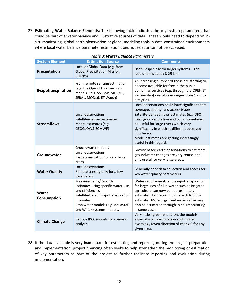27. **Estimating Water Balance Elements:** The following table indicates the key system parameters that could be part of a water balance and illustrative sources of data. These would need to depend on insitu monitoring, global earth observation or global modeling tools in data-constrained environments where local water balance parameter estimation does not exist or cannot be accessed.

| <b>System Element</b> | <b>Estimation Source</b>                                                                                                                                                                            | <b>Comments</b>                                                                                                                                                                                                                                                                                                                                                     |
|-----------------------|-----------------------------------------------------------------------------------------------------------------------------------------------------------------------------------------------------|---------------------------------------------------------------------------------------------------------------------------------------------------------------------------------------------------------------------------------------------------------------------------------------------------------------------------------------------------------------------|
| Precipitation         | Local or Global Data (e.g. from<br>Global Precipitation Mission,<br>CHIRPS)                                                                                                                         | Useful especially for larger systems - grid<br>resolution is about 8-25 km                                                                                                                                                                                                                                                                                          |
| Evapotranspiration    | From remote sensing estimation<br>(e.g. the Open ET Partnership<br>models - e.g. SSEBoP, METRIC,<br>SEBAL, MOD16, ET Watch)                                                                         | An increasing number of these are starting to<br>become available for free in the public<br>domain as services (e.g. through the OPEN ET<br>Partnership) - resolution ranges from 1 km to<br>5 m grids.                                                                                                                                                             |
| <b>Streamflows</b>    | Local observations<br>Satellite-derived estimates<br>Model estimates (e.g.<br>GEOGLOWS-ECMWF)                                                                                                       | Local observations could have significant data<br>coverage, quality, and access issues.<br>Satellite-derived flows estimates (e.g. DFO)<br>need good calibration and could sometimes<br>be useful for large rivers which vary<br>significantly in width at different observed<br>flow levels.<br>Model estimates are getting increasingly<br>useful in this regard. |
| Groundwater           | Groundwater models<br>Local observations<br>Earth observation for very large<br>areas                                                                                                               | Gravity based earth observations to estimate<br>groundwater changes are very coarse and<br>only useful for very large areas.                                                                                                                                                                                                                                        |
| <b>Water Quality</b>  | Local observations<br>Remote sensing only for a few<br>parameters                                                                                                                                   | Generally poor data collection and access for<br>key water quality parameters.                                                                                                                                                                                                                                                                                      |
| Water<br>Consumption  | Measurements/Records<br>Estimates using specific water use<br>and efficiencies<br>Satellite-based Evapotranspiration<br>Estimates<br>Crop water models (e.g. AquaStat)<br>and Water systems models. | Water requirements and evapotranspiration<br>for large uses of blue water such as irrigated<br>agriculture can now be approximately<br>estimated, but return flows are difficult to<br>estimate. More organized water reuse may<br>also be estimated through in-situ monitoring<br>in some cases.                                                                   |
| <b>Climate Change</b> | Various IPCC models for scenario<br>analysis                                                                                                                                                        | Very little agreement across the models<br>especially on precipitation and implied<br>hydrology (even direction of change) for any<br>given area.                                                                                                                                                                                                                   |

#### *Table 3: Water Balance Parameters*

28. If the data available is very inadequate for estimating and reporting during the project preparation and implementation, project financing often seeks to help strengthen the monitoring or estimation of key parameters as part of the project to further facilitate reporting and evaluation during implementation.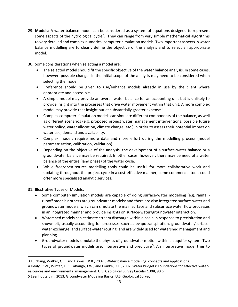- 29. **Models:** A water balance model can be considered as a system of equations designed to represent some aspects of the hydrological cycle<sup>3</sup>. They can range from very simple mathematical algorithms to very detailed and complex numerical computer-simulation models. Two important aspectsin water balance modelling are to clearly define the objective of the analysis and to select an appropriate model.
- 30. Some considerations when selecting a model are:
	- The selected model should fit the specific objective of the water balance analysis. In some cases, however, possible changes in the initial scope of the analysis may need to be considered when selecting the model.
	- Preference should be given to use/enhance models already in use by the client where appropriate and accessible.
	- A simple model may provide an overall water balance for an accounting unit but is unlikely to provide insight into the processes that drive water movement within that unit. A more complex model may provide that insight but at substantially greater expense<sup>4</sup>.
	- Complex computer-simulation models can simulate different components of the balance, as well as different scenarios (e.g. proposed project water management interventions, possible future water policy, water allocation, climate change, etc.) in order to assess their potential impact on water use, demand and availability.
	- Complex models require more data and more effort during the modelling process (model parametrization, calibration, validation).
	- Depending on the objective of the analysis, the development of a surface-water balance or a groundwater balance may be required. In other cases, however, there may be need of a water balance of the entire (land phase) of the water cycle.
	- While free/open source modelling tools could be useful for more collaborative work and updating throughout the project cycle in a cost-effective manner, some commercial tools could offer more specialized analytic services.

31. Illustrative Types of Models:

- Some computer-simulation models are capable of doing surface-water modelling (e.g. rainfallrunoff models); others are groundwater models; and there are also integrated surface-water and groundwater models, which can simulate the main surface and subsurface water flow processes in an integrated manner and provide insights on surface-water/groundwater interaction.
- Watershed models can estimate stream discharge within a basin in response to precipitation and snowmelt, usually accounting for processes such as evapotranspiration, groundwater/surfacewater exchange, and surface-water routing; and are widely used for watershed management and planning.
- Groundwater models simulate the physics of groundwater motion within an aquifer system. Two types of groundwater models are: interpretive and predictive<sup>5</sup>. An interpretive model tries to

<sup>3</sup> Lu Zhang, Walker, G.R. and Dawes, W.R., 2002., Water balance modelling: concepts and applications.

<sup>4</sup> Healy, R.W., Winter, T.C., LaBaugh, J.W., and Franke, O.L., 2007, Water budgets: Foundations for effective waterresources and environmental management: U.S. Geological Survey Circular 1308, 90 p.

<sup>5</sup> Leenhouts, Jim, 2013, Groundwater Modeling Basics, U.S. Geological Survey.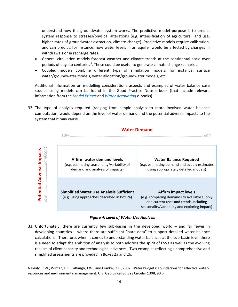understand how the groundwater system works. The predictive model purpose is to predict system response to stresses/physical alterations (e.g. intensification of agricultural land use, higher rates of groundwater extraction, climate change). Predictive models require calibration, and can predict, for instance, how water levels in an aquifer would be affected by changes in withdrawals or in recharge rates.

- General circulation models forecast weather and climate trends at the continental scale over periods of days to centuries<sup>6</sup>. These could be useful to generate climate change scenarios.
- Coupled models combine different type of simulation models, for instance: surface water/groundwater models, water allocation/groundwater models, etc.

Additional information on modelling considerations aspects and examples of water balance case studies using models can be found in the Good Practice Note e-book (that include relevant information from the *[Model Primer](http://www.appsolutelydigital.com/ModelPrimer/cover.html)* and *[Water Accounting](http://appsolutelydigital.com/WaterAccountingEBook/)* e-books).

32. The type of analysis required (ranging from simple analysis to more involved water balance computation) would depend on the level of water demand and the potential adverse impacts to the system that it may cause.

#### **Water Demand**



#### *Figure 4: Level of Water Use Analysis*

33. Unfortunately, there are currently few sub-basins in the developed world – and far fewer in developing countries – where there are sufficient "hard data" to support detailed water balance calculations. Therefore, when it comes to understanding water balances at the sub-basin level there is a need to adapt the ambition of analysis to both address the spirit of ESS3 as well as the evolving realism of client capacity and technological advances. Two examples reflecting a comprehensive and simplified assessments are provided in Boxes 2a and 2b.

<sup>6</sup> Healy, R.W., Winter, T.C., LaBaugh, J.W., and Franke, O.L., 2007, Water budgets: Foundations for effective waterresources and environmental management: U.S. Geological Survey Circular 1308, 90 p.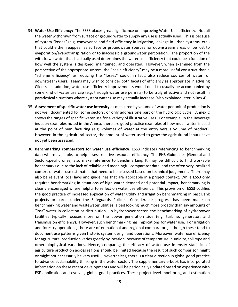- 34. **Water Use Efficiency:** The ESS3 places great significance on improving Water Use efficiency. Not all the water withdrawn from surface or ground water to supply any use is actually used. This is because of system "losses" (e.g. conveyance and field efficiency in irrigation, leakage in urban systems, etc.) that could either reappear as surface or groundwater sources for downstream areas or be lost to evaporation/evapotranspiration or to inaccessible groundwater percolation. The proportion of the withdrawn water that is actually used determines the water use efficiency that could be a function of how well the system is designed, maintained, and operated. However, when examined from the perspective of the appropriate system, the "basin efficiency" may be a more useful construct than a "scheme efficiency" as reducing the "losses" could, in fact, also reduce sources of water for downstream users. Teams may wish to consider both facets of efficiency as appropriate in advising Clients. In addition, water use efficiency improvements would need to usually be accompanied by some kind of water use cap (e.g. through water use permits) to be truly effective and not result in paradoxical situations where system water use may actually increase (also explained later in Box 4).
- 35. **Assessment of specific water use intensity** as measured by volume of water per unit of production is not well documented for some sectors; or only address one part of the hydrologic cycle. Annex C shows the ranges of specific water use for a variety of illustrative uses. For example, in the Beverage industry examples noted in the Annex, there are good practice examples of how much water is used at the point of manufacturing (e.g. volumes of water at the entry versus volume of product). However, in the agricultural sector, the amount of water used to grow the agricultural inputs have not yet been assessed.
- 36. **Benchmarking comparators for water use efficiency**. ESS3 indicates referencing to benchmarking data where available, to help assess relative resource efficiency. The EHS Guidelines (General and Sector-specific ones) also make reference to benchmarking. It may be difficult to find workable benchmarks due to the lack of reliable and meaningful comparator data, and the often very localized context of water use estimates that need to be assessed based on technical judgement. There may also be relevant local laws and guidelines that are applicable in a project context. While ESS3 only requires benchmarking in situations of high-water demand and potential impact, benchmarking is clearly encouraged where helpful to reflect on water use efficiency. This provision of ESS3 codifies the good practice of increased application of water utility and irrigation benchmarking in past Bank projects prepared under the Safeguards Policies. Considerable progress has been made on benchmarking water and wastewater utilities; albeit looking much more broadly than say amounts of "lost" water in collection or distribution. In hydropower sector, the benchmarking of hydropower facilities typically focuses more on the power generation side (e.g. turbine, generator, and transmission efficiency). However, such benchmarking has implications for water use. For irrigation and forestry operations, there are often national and regional comparators, although these tend to document use patterns given historic system design and operations. Moreover, water use efficiency for agricultural production varies greatly by location, because of temperature, humidity, soli type and other biophysical variations. Hence, comparing the efficacy of water use intensity statistics of agriculture production across regions should be limited because the result of such comparison might or might not necessarily be very useful. Nevertheless, there is a clear direction in global good practice to advance sustainability thinking in the water sector. The supplementary e-book has incorporated information on these recent developments and will be periodically updated based on experience with ESF application and evolving global good practices. These project-level monitoring and estimation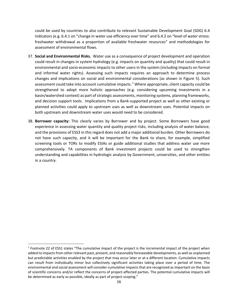could be used by countries to also contribute to relevant Sustainable Development Goal (SDG) 6.4 indicators (e.g. 6.4.1 on "change in water use efficiency over time" and 6.4.2 on "level of water stress: freshwater withdrawal as a proportion of available freshwater resources" and methodologies for assessment of environmental flows.

- 37. **Social and Environmental Risks.** Water use as a consequence of project development and operation could result in changes in system hydrology (e.g. impacts on quantity and quality) that could result in environmental and socio-economic impacts to other users in the system (including impacts on formal and informal water rights). Assessing such impacts requires an approach to determine process changes and implications on social and environmental considerations (as shown in Figure 5). Such assessment could take into account cumulative impacts.<sup>7</sup> Where appropriate, client capacity could be strengthened to adopt more holistic approaches (e.g. considering upcoming investments in a basin/watershed context) as part of strategic assessments, monitoring systems, planning frameworks, and decision support tools. Implications from a Bank-supported project as well as other existing or planned activities could apply to upstream uses as well as downstream uses. Potential impacts on both upstream and downstream water uses would need to be considered.
- 38. **Borrower capacity:** This clearly varies by Borrower and by project. Some Borrowers have good experience in assessing water quantity and quality project risks, including analysis of water balance, and the provisions of ESS3 in this regard does not add a major additional burden. Other Borrowers do not have such capacity, and it will be important for the Bank to share, for example, simplified screening tools or TORs to modify ESIAs or guide additional studies that address water use more comprehensively. TA components of Bank investment projects could be used to strengthen understanding and capabilities in hydrologic analysis by Government, universities, and other entities in a country.

<sup>&</sup>lt;sup>7</sup> Footnote 22 of ESS1 states "The cumulative impact of the project is the incremental impact of the project when added to impacts from other relevant past, present, and reasonably foreseeable developments, as well as unplanned but predictable activities enabled by the project that may occur later or at a different location. Cumulative impacts can result from individually minor but collectively significant activities taking place over a period of time. The environmental and social assessment will consider cumulative impacts that are recognized as important on the basis of scientific concerns and/or reflect the concerns of project-affected parties. The potential cumulative impacts will be determined as early as possible, ideally as part of project scoping."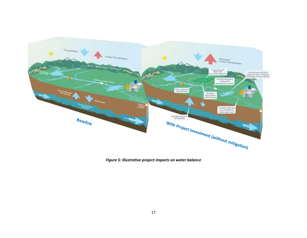

*Figure 5: Illustrative project impacts on water balance*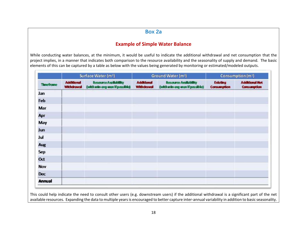# **Box 2a**

# **Example of Simple Water Balance**

While conducting water balances, at the minimum, it would be useful to indicate the additional withdrawal and net consumption that the project implies, in a manner that indicates both comparison to the resource availability and the seasonality of supply and demand. The basic elements of this can be captured by a table as below with the values being generated by monitoring or estimated/modeled outputs.

|               | Surface Water (m <sup>3</sup> ) |                                                         | Ground Water (m <sup>3</sup> )         |                                                                | Consumption (m <sup>3</sup> )         |                                             |
|---------------|---------------------------------|---------------------------------------------------------|----------------------------------------|----------------------------------------------------------------|---------------------------------------|---------------------------------------------|
| Thingiranne   | <b>Additional</b><br>Withdrawal | Resource Availability<br>(with min-ovg-max if possible) | <b>Additional</b><br><b>Withdrawal</b> | <b>Resource Andilability</b><br>(with min-ong-max if possible) | <b>Existing</b><br><b>Consumption</b> | <b>Additional Met</b><br><b>Consumption</b> |
| Jan           |                                 |                                                         |                                        |                                                                |                                       |                                             |
| Feb           |                                 |                                                         |                                        |                                                                |                                       |                                             |
| Mar           |                                 |                                                         |                                        |                                                                |                                       |                                             |
| Apr           |                                 |                                                         |                                        |                                                                |                                       |                                             |
| May           |                                 |                                                         |                                        |                                                                |                                       |                                             |
| Jun           |                                 |                                                         |                                        |                                                                |                                       |                                             |
| Jul           |                                 |                                                         |                                        |                                                                |                                       |                                             |
| Aug           |                                 |                                                         |                                        |                                                                |                                       |                                             |
| Sep           |                                 |                                                         |                                        |                                                                |                                       |                                             |
| Oct           |                                 |                                                         |                                        |                                                                |                                       |                                             |
| Nov           |                                 |                                                         |                                        |                                                                |                                       |                                             |
| <b>Dec</b>    |                                 |                                                         |                                        |                                                                |                                       |                                             |
| <b>Annual</b> |                                 |                                                         |                                        |                                                                |                                       |                                             |

This could help indicate the need to consult other users (e.g. downstream users) if the additional withdrawal is a significant part of the net available resources. Expanding the data to multiple years is encouraged to better capture inter-annual variability in addition to basic seasonality.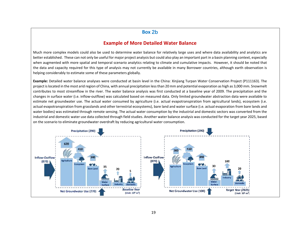### **Box 2b**

### **Example of More Detailed Water Balance**

Much more complex models could also be used to determine water balance for relatively large uses and where data availability and analytics are better established. These can not only be useful for major project analysis but could also play an important part in a basin planning context, especially when augmented with more spatial and temporal scenario analytics relating to climate and cumulative impacts. However, it should be noted that the data and capacity required for this type of analysis may not currently be available in many Borrower countries, although earth observation is helping considerably to estimate some of these parameters globally.

**Example:** Detailed water balance analyses were conducted at basin level in the China: Xinjiang Turpan Water Conservation Project (P111163). The project is located in the most arid region of China, with annual precipitation less than 20 mm and potential evaporation as high as 3,000 mm. Snowmelt contributes to most streamflow in the river. The water balance analysis was first conducted at a baseline year of 2009. The precipitation and the changes in surface water (i.e. inflow-outflow) was calculated based on measured data. Only limited groundwater abstraction data were available to estimate net groundwater use. The actual water consumed by agriculture (i.e. actual evapotranspiration from agricultural lands), ecosystem (i.e. actual evapotranspiration from grasslands and other terrestrial ecosystems), bare land and water surface (i.e. actual evaporation from bare lands and water bodies) was estimated through remote sensing. The actual water consumption by the industrial and domestic sectors was converted from the industrial and domestic water use data collected through field studies. Another water balance analysis was conducted for the target year 2025, based on the scenario to eliminate groundwater overdraft by reducing agricultural water consumption.

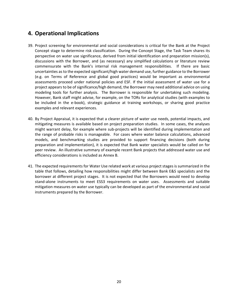# <span id="page-25-0"></span>**4. Operational Implications**

- 39. Project screening for environmental and social considerations is critical for the Bank at the Project Concept stage to determine risk classification. During the Concept Stage, the Task Team shares its perspective on water use significance, derived from initial identification and preparation mission(s), discussions with the Borrower, and (as necessary) any simplified calculations or literature review commensurate with the Bank's internal risk management responsibilities. If there are basic uncertainties as to the expected significant/high water demand use, further guidance to the Borrower (e.g. on Terms of Reference and global good practices) would be important as environmental assessments proceed under national policies and ESF. If the initial assessment of water use for a project appears to be of significance/high demand, the Borrower may need additional advice on using modeling tools for further analysis. The Borrower is responsible for undertaking such modeling. However, Bank staff might advise, for example, on the TORs for analytical studies (with examples to be included in the e-book), strategic guidance at training workshops, or sharing good practice examples and relevant experiences.
- 40. By Project Appraisal, it is expected that a clearer picture of water use needs, potential impacts, and mitigating measures is available based on project preparation studies. In some cases, the analyses might warrant delay, for example where sub-projects will be identified during implementation and the range of probable risks is manageable. For cases where water balance calculations, advanced models, and benchmarking studies are provided to support financing decisions (both during preparation and implementation), it is expected that Bank water specialists would be called on for peer review. An illustrative summary of example recent Bank projects that addressed water use and efficiency considerations is included as Annex B.
- 41. The expected requirements for Water Use related work at various project stages is summarized in the table that follows, detailing how responsibilities might differ between Bank E&S specialists and the borrower at different project stages. It is not expected that the Borrowers would need to develop stand-alone instruments to meet ESS3 requirements on water uses. Assessments and suitable mitigation measures on water use typically can be developed as part of the environmental and social instruments prepared by the Borrower.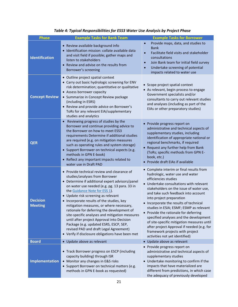| <b>Phase</b>                      | <b>Example Tasks for Bank Team</b>                                                                                                                                                                                                                                                                                                                                                                                                                                                                                                                                                                                                      | <b>Example Tasks for Borrower</b>                                                                                                                                                                                                                                                                                                                                                                                                                                                                                                                                                                   |
|-----------------------------------|-----------------------------------------------------------------------------------------------------------------------------------------------------------------------------------------------------------------------------------------------------------------------------------------------------------------------------------------------------------------------------------------------------------------------------------------------------------------------------------------------------------------------------------------------------------------------------------------------------------------------------------------|-----------------------------------------------------------------------------------------------------------------------------------------------------------------------------------------------------------------------------------------------------------------------------------------------------------------------------------------------------------------------------------------------------------------------------------------------------------------------------------------------------------------------------------------------------------------------------------------------------|
| <b>Identification</b>             | • Review available background info<br>· Identification mission: collate available data<br>and visit field if possible; gather maps and<br>listen to stakeholders<br>• Review and advise on the results from<br>Borrower's screening                                                                                                                                                                                                                                                                                                                                                                                                     | Provide maps, data, and studies to<br>$\bullet$<br><b>Bank</b><br>Facilitate field visits and stakeholder<br>$\bullet$<br>consultations<br>Join Bank team for initial field survey<br>$\bullet$<br>Undertake screening of potential<br>$\bullet$<br>impacts related to water use                                                                                                                                                                                                                                                                                                                    |
| <b>Concept Review</b>             | • Outline project spatial context<br>• Carry out basic hydrologic screening for ENV<br>risk determination; quantitative or qualitative<br>• Assess borrower capacity<br>• Summarize in Concept Review package<br>(including in ESRS)<br>• Review and provide advice on Borrower's<br>ToRs for any relevant EIA/supplementary<br>studies and analytics                                                                                                                                                                                                                                                                                   | • Scope project spatial context<br>• As relevant, begin process to engage<br>Government specialists and/or<br>consultants to carry out relevant studies<br>and analyses (including as part of the<br>EIAs or other preparatory studies)                                                                                                                                                                                                                                                                                                                                                             |
| <b>QER</b>                        | Reviewing progress of studies by the<br>$\bullet$<br>Borrower and continue providing advice to<br>the Borrower on how to meet ESS3<br>requirements Determine if additional studies<br>are required (e.g. on mitigation measures<br>such as operating rules and system storage)<br>• Support Borrower on technical aspects (e.g.<br>methods in GPN E-book)<br>• Reflect any important impacts related to<br>water use in Draft PAD                                                                                                                                                                                                       | • Provide progress report on<br>administrative and technical aspects of<br>supplementary studies, including<br>identification of appropriate national or<br>regional benchmarks, if required<br>• Request any further help from Bank<br>(ToRs; specific methods from GPN E-<br>book, etc.)<br>• Provide draft EIAs if available                                                                                                                                                                                                                                                                     |
| <b>Decision</b><br><b>Meeting</b> | • Provide technical review and clearance of<br>studies/analyses from Borrower<br>• Determine if additional expert advisors/panel<br>on water use needed (e.g. pg. 13 para. 33 in<br>the Guidance Note for ESS 1).<br>• Update risk screening as relevant<br>• Incorporate results of the studies, key<br>mitigation measures, or where necessary,<br>rationale for deferring the development of<br>site-specific analyses and mitigation measures<br>until after project Approval into Decision<br>Package (e.g. updated ESRS, ESCP, SEP,<br>revised PAD and draft Legal Agreement)<br>• Verify if disclosure obligations have been met | • Complete interim or final results from<br>hydrologic, water use and water<br>efficiencies studies<br>• Undertake consultations with relevant<br>stakeholders on the issue of water use,<br>and take such feedback into account<br>into project preparation<br>Incorporate the results of technical<br>studies in ESIA; ESMF; ESMP as relevant<br>• Provide the rationale for deferring<br>specified analyses and the development<br>of site-specific mitigation measures until<br>after project Approval if needed (e.g. for<br>framework projects with project<br>activities not yet identified) |
| <b>Board</b>                      | • Update above as relevant                                                                                                                                                                                                                                                                                                                                                                                                                                                                                                                                                                                                              | • Update above as relevant                                                                                                                                                                                                                                                                                                                                                                                                                                                                                                                                                                          |
| <b>Implementation</b>             | • Track Borrower progress on ESCP (including<br>capacity building) through ISR<br>• Monitor any changes in E&S risks<br>• Support Borrower on technical matters (e.g.<br>methods in GPN E-book as requested)                                                                                                                                                                                                                                                                                                                                                                                                                            | • Provide progress report on<br>administrative and technical aspects of<br>supplementary studies<br>• Undertake monitoring to confirm if the<br>impacts that have materialized are<br>different from predictions, in which case<br>the adequacy of previously developed                                                                                                                                                                                                                                                                                                                             |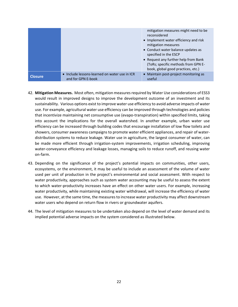|                |                                                                     | mitigation measures might need to be<br>reconsidered<br>• Implement water efficiency and risk<br>mitigation measures<br>• Conduct water balance updates as<br>specified in the ESCP<br>• Request any further help from Bank<br>(ToRs; specific methods from GPN E-<br>book, global good practices, etc.) |
|----------------|---------------------------------------------------------------------|----------------------------------------------------------------------------------------------------------------------------------------------------------------------------------------------------------------------------------------------------------------------------------------------------------|
| <b>Closure</b> | • Include lessons-learned on water use in ICR<br>and for GPN E-book | • Maintain post-project monitoring as<br>useful                                                                                                                                                                                                                                                          |

- 42. **Mitigation Measures.** Most often, mitigation measures required by Water Use considerations of ESS3 would result in improved designs to improve the development outcome of an investment and its sustainability. Various options exist to improve water use efficiency to avoid adverse impacts of water use. For example, agricultural water use efficiency can be improved through technologies and policies that incentivize maintaining net consumptive use (evapo-transpiration) within specified limits, taking into account the implications for the overall watershed. In another example, urban water use efficiency can be increased through building codes that encourage installation of low flow toilets and showers, consumer awareness campaigns to promote water efficient appliances, and repair of waterdistribution systems to reduce leakage. Water use in agriculture, the largest consumer of water, can be made more efficient through irrigation-system improvements, irrigation scheduling, improving water-conveyance efficiency and leakage losses, managing soils to reduce runoff, and reusing water on-farm.
- 43. Depending on the significance of the project's potential impacts on communities, other users, ecosystems, or the environment, it may be useful to include an assessment of the volume of water used per unit of production in the project's environmental and social assessment. With respect to water productivity, approaches such as system water accounting may be useful to assess the extent to which water-productivity increases have an effect on other water users. For example, increasing water productivity, while maintaining existing water withdrawal, will increase the efficiency of water use. However, at the same time, the measures to increase water productivity may affect downstream water users who depend on return flow in rivers or groundwater aquifers.
- 44. The level of mitigation measures to be undertaken also depend on the level of water demand and its implied potential adverse impacts on the system considered as illustrated below.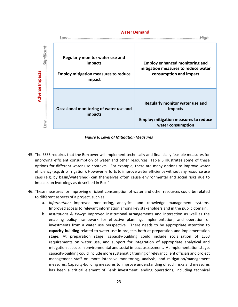

#### *Figure 6: Level of Mitigation Measures*

- 45. The ESS3 requires that the Borrower will implement technically and financially feasible measures for improving efficient consumption of water and other resources. Table 5 illustrates some of these options for different water use contexts. For example, there are many options to improve water efficiency (e.g. drip irrigation). However, efforts to improve water efficiency without any resource use caps (e.g. by basin/watershed) can themselves often cause environmental and social risks due to impacts on hydrology as described in Box 4.
- 46. These measures for improving efficient consumption of water and other resources could be related to different aspects of a project, such as:
	- a. *Information:* Improved monitoring, analytical and knowledge management systems. Improved access to relevant information among key stakeholders and in the public domain.
	- b. *Institutions & Policy:* Improved institutional arrangements and interaction as well as the enabling policy framework for effective planning, implementation, and operation of investments from a water use perspective. There needs to be appropriate attention to **capacity-building** related to water use in projects both at preparation and implementation stage. At preparation stage, capacity-building could include socialization of ESS3 requirements on water use, and support for integration of appropriate analytical and mitigation aspects in environmental and social impact assessment. At implementation stage, capacity-building could include more systematic training of relevant client officials and project management staff on more intensive monitoring, analysis, and mitigation/management measures. Capacity-building measures to improve understanding of such risks and measures has been a critical element of Bank investment lending operations, including technical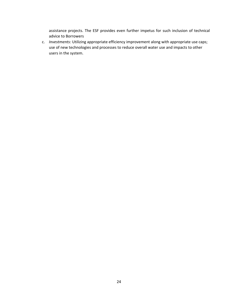assistance projects. The ESF provides even further impetus for such inclusion of technical advice to Borrowers

c. *Investments:* Utilizing appropriate efficiency improvement along with appropriate use caps; use of new technologies and processes to reduce overall water use and impacts to other users in the system.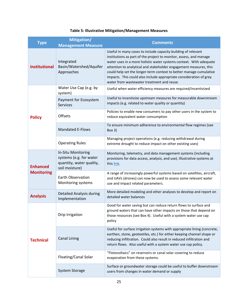| <b>Type</b>                          | <b>Mitigation/</b><br><b>Management Measure</b>                                             | <b>Comments</b>                                                                                                                                                                                                                                                                                                                                                                                                                                                          |
|--------------------------------------|---------------------------------------------------------------------------------------------|--------------------------------------------------------------------------------------------------------------------------------------------------------------------------------------------------------------------------------------------------------------------------------------------------------------------------------------------------------------------------------------------------------------------------------------------------------------------------|
| <b>Institutional</b>                 | Integrated<br>Basin/Watershed/Aquifer<br>Approaches                                         | Useful in many cases to include capacity building of relevant<br>institutions as part of the project to monitor, assess, and manage<br>water uses in a more holistic water systems context. With adequate<br>attention to analytical and stakeholder engagement measures, this<br>could help set the longer-term context to better manage cumulative<br>impacts. This could also include appropriate consideration of grey<br>water from wastewater treatment and reuse. |
|                                      | Water Use Cap (e.g. by<br>system)                                                           | Useful when water efficiency measures are required/incentivized                                                                                                                                                                                                                                                                                                                                                                                                          |
|                                      | Payment for Ecosystem<br><b>Services</b>                                                    | Useful to incentivize upstream measures for measurable downstream<br>impacts (e.g. related to water quality or quantity)                                                                                                                                                                                                                                                                                                                                                 |
| <b>Policy</b>                        | Offsets                                                                                     | Policies to enable new consumers to pay other users in the system to<br>reduce equivalent water consumption                                                                                                                                                                                                                                                                                                                                                              |
|                                      | <b>Mandated E-Flows</b>                                                                     | To ensure minimum adherence to environmental flow regimes (see<br>Box 3)                                                                                                                                                                                                                                                                                                                                                                                                 |
|                                      | <b>Operating Rules</b>                                                                      | Managing project operations (e.g. reducing withdrawal during<br>extreme drought to reduce impact on other existing uses)                                                                                                                                                                                                                                                                                                                                                 |
| <b>Enhanced</b><br><b>Monitoring</b> | In-Situ Monitoring<br>systems (e.g. for water<br>quantity, water quality,<br>soil moisture) | Monitoring, telemetry, and data management systems (including<br>provisions for data access, analysis, and use). Illustrative systems at<br>this link.                                                                                                                                                                                                                                                                                                                   |
|                                      | Earth Observation<br>Monitoring systems                                                     | A range of increasingly powerful systems based on satellites, aircraft,<br>and UAVs (drones) can now be used to assess some relevant water<br>use and impact related parameters.                                                                                                                                                                                                                                                                                         |
| <b>Analysis</b>                      | Detailed Analysis during<br>Implementation                                                  | More detailed modeling and other analyses to develop and report on<br>detailed water balances                                                                                                                                                                                                                                                                                                                                                                            |
| <b>Technical</b>                     | Drip Irrigation                                                                             | Good for water saving but can reduce return flows to surface and<br>ground waters that can have other impacts on those that depend on<br>those resources (see Box 4). Useful with a system water use cap<br>policy                                                                                                                                                                                                                                                       |
|                                      | <b>Canal Lining</b>                                                                         | Useful for surface irrigation systems with appropriate lining (concrete,<br>earthen, stone, geotextiles, etc.) for either keeping channel shape or<br>reducing infiltration. Could also result in reduced infiltration and<br>return flows. Also useful with a system water use cap policy.                                                                                                                                                                              |
|                                      | Floating/Canal Solar                                                                        | "Flotovoltaics" on reservoirs or canal solar covering to reduce<br>evaporation from these systems.                                                                                                                                                                                                                                                                                                                                                                       |
|                                      | <b>System Storage</b>                                                                       | Surface or groundwater storage could be useful to buffer downstream<br>users from changes in water demand or supply                                                                                                                                                                                                                                                                                                                                                      |

## **Table 5: Illustrative Mitigation/Management Measures**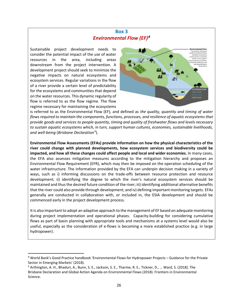# **Box 3**  $Environmental Flow (EF)<sup>8</sup>$

Sustainable project development needs to consider the potential impact of the use of water resources in the area, including areas downstream from the project intervention. A development project should seek to minimize the negative impacts on natural ecosystems and ecosystem services. Regular variations in the flow of a river provide a certain level of predictability for the ecosystems and communities that depend on the water resources. This dynamic regularity of flow is referred to as the flow regime. The flow regime necessary for maintaining the ecosystems



is referred to as the Environmental Flow (EF), and defined as *the quality, quantity and timing of water flows required to maintain the components, functions, processes, and resilience of aquatic ecosystems that provide goods and services to people quantity, timing and quality of freshwater flows and levels necessary to sustain aquatic ecosystems which, in turn, support human cultures, economies, sustainable livelihoods,*  and well-being (Brisbane Declaration<sup>9</sup>).

**Environmental Flow Assessments (EFAs) provide information on how the physical characteristics of the river could change with planned developments, how ecosystem services and biodiversity could be impacted, and how all these changes could affect people and local and wider economies.** In many cases, the EFA also assesses mitigation measures according to the mitigation hierarchy and proposes an Environmental Flow Requirement (EFR), which may then be imposed on the operation scheduling of the water infrastructure. The information provided by the EFA can underpin decision making in a variety of ways, such as i) informing discussions on the trade-offs between resource protection and resource development; ii) identifying the degree to which the river's natural ecosystem services should be maintained and thus the desired future condition of the river; iii) identifying additional alternative benefits that the river could also provide through development; and iv) defining important monitoring targets. EFAs generally are conducted in collaboration with, or included in, the ESIA development and should be commenced early in the project development process.

It is also important to adopt an adaptive approach to the management of EF based on adequate monitoring during project implementation and operational phases. Capacity-building for considering cumulative flows as part of basin planning with appropriate tools and mechanisms at a systems level would also be useful, especially as the consideration of e-flows is becoming a more established practice (e.g. in large hydropower).

<sup>8</sup> World Bank's Good Practice handbook 'Environmental Flows for Hydropower Projects – Guidance for the Private Sector in Emerging Markets' (2018).

<sup>9</sup> Arthington, A. H., Bhaduri, A., Bunn, S. E., Jackson, S. E., Tharme, R. E., Tickner, D., … Ward, S. (2018). The Brisbane Declaration and Global Action Agenda on Environmental Flows (2018). Frontiers in Environmental Science.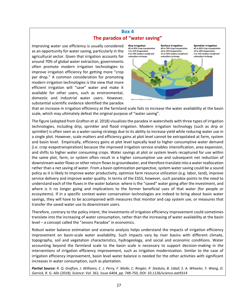## **Box 4 The paradox of "water saving"**

Improving water use efficiency is usually considered as an opportunity for water saving, particularly in the agricultural sector. Given that irrigation accounts for around 70% of global water extraction, governments often promote modern irrigation technologies to improve irrigation efficiency for getting more "crop per drop." A common consideration for promoting modern irrigation technologies is the view that more efficient irrigation will "save" water and make it available for other users, such as environmental, domestic and industrial water users. However, substantial scientific evidence identified the paradox



that an increase in irrigation efficiency at the farmland scale fails to increase the water availability at the basin scale, which may ultimately defeat the original purpose of "water saving".

The figure (adopted from Grafton et al. 2018) visualizes the paradox in watersheds with three types of irrigation technologies, including drip, sprinkler and flood irrigation. Modern irrigation technology (such as drip or sprinkler) is often seen as a water-saving strategy due to its ability to increase yield while reducing water use in a single plot. However, scale matters and efficiency gains at plot level cannot be extrapolated at farm, system and basin level. Empirically, efficiency gains at plot level typically lead to higher consumptive water demand (i.e. crop evapotranspiration) because the improved irrigation service enables intensification, area expansion, and shifts to higher water consuming crops. Water savings at plot or system levels recaptured for use within the same plot, farm, or system often result in a higher consumptive use and subsequent net reduction of downstream water flows or other return flowsto groundwater, and therefore translate into a water reallocation rather than a net saving of water. From a basin optimization perspective, system water saving could be a sound policy as it is likely to improve water productivity, optimize farm resource utilization (e.g. labor, land), improve service delivery and improve water quality. In terms of the ESS3, however, such paradox points to the need to understand each of the fluxes in the water balance: where is the "saved" water going after the investment, and where is it no longer going and implications to the former beneficial uses of that water (for people or ecosystems). If in a specific context water conservation technologies are indeed to bring about basin water savings, they will have to be accompanied with measures that monitor and cap system use, or measures that transfer the saved water use to downstream users.

Therefore, contrary to the policy intent, the investments of irrigation efficiency improvement could sometimes translate into the increasing of water consumption, rather than the increasing of water availability at the basin level – a concept called the "Jevons Paradox" in economics.

Robust water balance estimation and scenario analysis helps understand the impacts of irrigation efficiency improvement on basin-scale water availability. Such impacts vary by river basins with different climate, topography, soil and vegetation characteristics, hydrogeology, and social and economic conditions. Water accounting beyond the farmland scale to the basin scale is necessary to support decision-making in the interventions of irrigation efficiency improvement, such as irrigation modernization. Similar to the case of irrigation efficiency improvement, basin level water balance is needed for the other activities with significant increases in water consumption, such as plantation.

*Partial Source: R. Q. Grafton, J. Williams, C. J. Perry, F. Molle, C. Ringler, P. Steduto, B. Udall, S. A. Wheeler, Y. Wang, D. Garrick, R. G. Alle (2018), Science: Vol. 361, Issue 6404, pp. 748-750, DOI: 10.1126/science.aat9314*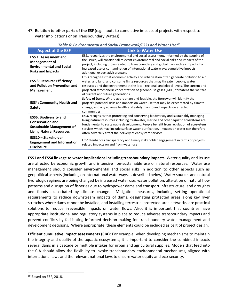47. **Relation to other parts of the ESF** (e.g. inputs to cumulative impacts of projects with respect to water implications or on Transboundary Waters)

| <b>Aspect of the ESF</b>                                                                                                        | <b>Link to Water Use</b>                                                                                                                                                                                                                                                                                                                                                                                                     |
|---------------------------------------------------------------------------------------------------------------------------------|------------------------------------------------------------------------------------------------------------------------------------------------------------------------------------------------------------------------------------------------------------------------------------------------------------------------------------------------------------------------------------------------------------------------------|
| <b>ESS 1: Assessment and</b><br><b>Management of</b><br><b>Environmental and Social</b><br><b>Risks and Impacts</b>             | ESS1 recognizes the environmental and social assessment, informed by the scoping of<br>the issues, will consider all relevant environmental and social risks and impacts of the<br>project, including those related to transboundary and global risks such as impacts from<br>increased use or contamination of international waterways; cumulative impacts;<br>additional expert advisors/panel                             |
| <b>ESS 3: Resource Efficiency</b><br>and Pollution Prevention and<br><b>Management</b>                                          | ESS3 recognizes that economic activity and urbanization often generate pollution to air,<br>water, and land, and consume finite resources that may threaten people, water<br>resources and the environment at the local, regional, and global levels. The current and<br>projected atmospheric concentration of greenhouse gases (GHG) threatens the welfare<br>of current and future generations.                           |
| <b>ESS4: Community Health and</b><br><b>Safety</b>                                                                              | Safety of Dams. Where appropriate and feasible, the Borrower will identify the<br>project's potential risks and impacts on water use that may be exacerbated by climate<br>change, and any adverse health and safety risks to and impacts on affected<br>communities.                                                                                                                                                        |
| <b>ESS6: Biodiversity and</b><br><b>Conservation and</b><br><b>Sustainable Management of</b><br><b>Living Natural Resources</b> | ESS6 recognizes that protecting and conserving biodiversity and sustainably managing<br>living natural resources including freshwater, marine and other aquatic ecosystems are<br>fundamental to sustainable development. People benefit from regulation of ecosystem<br>services which may include surface water purification. Impacts on water can therefore<br>often adversely affect the delivery of ecosystem services. |
| ESS10 - Stakeholder<br><b>Engagement and Information</b><br><b>Disclosure</b>                                                   | ESS10 enhances transparency and timely stakeholder engagement in terms of project-<br>related impacts on and from water use.                                                                                                                                                                                                                                                                                                 |

#### Table 6: Environmental and Social Framework/ESSs and Water Use<sup>10</sup>

**ESS1 and ESS4 linkage to water implications including transboundary impacts**: Water quality and its use are affected by economic growth and intensive non-sustainable use of natural resources. Water use management should consider environmental and social risks in addition to other aspects such as geopolitical aspects(including on international waterways as described below). Water sources and natural hydrologic regimes are being changed by increased water use, water pollution, alteration of natural flow patterns and disruption of fisheries due to hydropower dams and transport infrastructure, and droughts and floods exacerbated by climate change. Mitigation measures, including setting operational requirements to reduce downstream impacts of dams, designating protected areas along key river stretches where dams cannot be installed, and installing terrestrial protected-area networks, are practical solutions to reduce irreversible impacts on water flows. Also, it is important that countries have appropriate institutional and regulatory systems in place to reduce adverse transboundary impacts and prevent conflicts by facilitating informed decision-making for transboundary water management and development decisions. Where appropriate, these elements could be included as part of project design.

**Efficient cumulative impact assessments (CIA)**: For example, when developing mechanisms to maintain the integrity and quality of the aquatic ecosystems, it is important to consider the combined impacts several dams in a cascade or multiple intakes for urban and agricultural supplies. Models that feed into the CIA should allow the flexibility to invoke transboundary environmental mechanisms, aligned with international laws and the relevant national laws to ensure water equity and eco-security.

<sup>&</sup>lt;sup>10</sup> Based on ESF, 2018.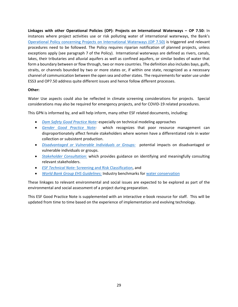**Linkages with other Operational Policies (OP): Projects on International Waterways – OP 7.50:** In instances where project activities use or risk polluting water of international waterways, the Bank's [Operational Policy concerning Projects on International Waterways \(OP 7.50\)](https://spappscsec.worldbank.org/sites/ppf3/PPFDocuments/Forms/DispPage.aspx?docid=2660) is triggered and relevant procedures need to be followed. The Policy requires riparian notification of planned projects, unless exceptions apply (see paragraph 7 of the Policy). International waterways are defined as rivers, canals, lakes, their tributaries and alluvial aquifers as well as confined aquifers, or similar bodies of water that form a boundary between or flow through, two or more countries. The definition also includes bays, gulfs, straits, or channels bounded by two or more states or, if within one state, recognized as a necessary channel of communication between the open sea and other states. The requirements for water use under ESS3 and OP7.50 address quite different issues and hence follow different processes.

#### **Other:**

Water Use aspects could also be reflected in climate screening considerations for projects. Special considerations may also be required for emergency projects, and for COVID-19 related procedures.

This GPN is informed by, and will help inform, many other ESF related documents, including:

- *[Dam Safety Good Practice Note:](https://openknowledge.worldbank.org/handle/10986/35484)* especially on technical modeling approaches
- *[Gender Good Practice Note:](http://pubdocs.worldbank.org/en/158041571230608289/Good-Practice-Note-Gender.pdf)* which recognizes that poor resource management can disproportionately affect female stakeholders where women have a differentiated role in water collection or subsistent production.
- *[Disadvantaged or Vulnerable Individuals or Groups:](https://ppfdocuments.azureedge.net/e5562765-a553-4ea0-b787-7e1e775f29d5.pdf)* potential impacts on disadvantaged or vulnerable individuals or groups.
- *[Stakeholder Consultation:](http://documents1.worldbank.org/curated/en/476161530217390609/ESF-Guidance-Note-10-Stakeholder-Engagement-and-Information-Disclosure-English.pdf)* which provides guidance on identifying and meaningfully consulting relevant stakeholders.
- *ESF Technical Note:* [Screening and Risk Classification,](https://wbdocs.worldbank.org/wbdocs/drl/objectId/090224b087eb09bb) and
- *[World Bank Group EHS Guidelines:](https://www.ifc.org/wps/wcm/connect/Topics_Ext_Content/IFC_External_Corporate_Site/Sustainability-At-IFC/Policies-Standards/EHS-Guidelines/)* Industry benchmarks for [water conservation](https://www.ifc.org/wps/wcm/connect/8e307e4e-7668-4049-b163-f8d00f0cdef7/1-4%2BWater%2BConservation.pdf?MOD=AJPERES&CVID=ls4XhtY)

These linkages to relevant environmental and social issues are expected to be explored as part of the environmental and social assessment of a project during preparation.

This ESF Good Practice Note is supplemented with an interactive e-book resource for staff. This will be updated from time to time based on the experience of implementation and evolving technology.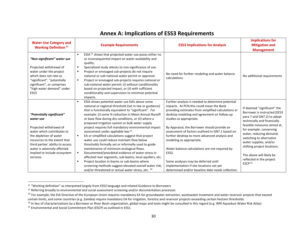<span id="page-35-0"></span>

| <b>Water Use Category and</b><br><b>Working Definition</b> <sup>11</sup>                                                                                                                                                                                                   | <b>Example Requirements</b>                                                                                                                                                                                                                                                                                                                                                                                                                                                                                                                                                                                                                                                                                                                                                                                                                                             | <b>ESS3 Implications for Analysis</b>                                                                                                                                                                                                                                                                                                                                                                                                                                                                             | <b>Implications for</b><br><b>Mitigation and</b><br><b>Management</b>                                                                                                                                                                                                                                                                                      |
|----------------------------------------------------------------------------------------------------------------------------------------------------------------------------------------------------------------------------------------------------------------------------|-------------------------------------------------------------------------------------------------------------------------------------------------------------------------------------------------------------------------------------------------------------------------------------------------------------------------------------------------------------------------------------------------------------------------------------------------------------------------------------------------------------------------------------------------------------------------------------------------------------------------------------------------------------------------------------------------------------------------------------------------------------------------------------------------------------------------------------------------------------------------|-------------------------------------------------------------------------------------------------------------------------------------------------------------------------------------------------------------------------------------------------------------------------------------------------------------------------------------------------------------------------------------------------------------------------------------------------------------------------------------------------------------------|------------------------------------------------------------------------------------------------------------------------------------------------------------------------------------------------------------------------------------------------------------------------------------------------------------------------------------------------------------|
| "Non-significant" water use<br>Projected withdrawal of<br>water under the project<br>which does not rate as<br>"significant", "potentially<br>significant", or comprises<br>"high water demand" under<br>ESS3                                                              | ESIA <sup>12</sup> shows that projected water use poses either no<br>$\blacksquare$<br>or inconsequential impact on water availability and<br>quality.<br>Specialized study attests to non-significance of use.<br>٠<br>Project or envisaged sub-projects do not require<br>$\blacksquare$<br>national or sub-national water permit or approval.<br>Project or envisaged sub-projects requires national or<br>٠<br>sub-national water permit: (i) without conditionality<br>based on projected impact, or (ii) with sufficient<br>conditionality and supervision to minimize potential<br>impacts.                                                                                                                                                                                                                                                                      | No need for further modeling and water balance<br>calculations.                                                                                                                                                                                                                                                                                                                                                                                                                                                   | No additional requirements                                                                                                                                                                                                                                                                                                                                 |
| "Potentially significant"<br>water use<br>Projected withdrawal of<br>water which contributes to<br>the depletion of water<br>resources to the extent that<br>third parties' ability to access<br>water is adversely affected.<br>Implied to include ecosystem<br>services. | ESIA shows potential water use falls above some<br>٠<br>national or regional threshold (set in law or guidance)<br>that is functionally equivalent to "significant". For<br>example: (i) some % reduction in Mean Annual Runoff<br>or base flow during dry conditions, or (ii) where a<br>proposed irrigation system or bulk water supply<br>project requires full mandatory environmental impact<br>assessment under appliable law <sup>13</sup> .<br>EA or simplified calculations suggest that project<br>$\blacksquare$<br>water use could reduce instream flow below<br>thresholds formally set or informally used to guide<br>maintenance of minimum ecological flows.<br>Documented/anecdotal evidence of water stress in<br>л.<br>affected river segments, sub-basins, local aquifers, etc.<br>Project location in basins or sub-basins where<br>$\blacksquare$ | Further analysis is needed to determine potential<br>impacts. At PCN this could mean the Bank<br>providing estimates from simplified calculations or<br>desktop modeling and agreement on follow-up<br>studies as appropriate.<br>By Appraisal, the Borrower should provide an<br>assessment of factors outlined in GN7.1 based on<br>further desktop to more advanced analysis and<br>modeling as appropriate.<br>Water balance calculations are not required by<br>ESS3.<br>Some analyses may be deferred until | If deemed "significant" the<br>Borrower is instructed (EES3<br>para 7 and GN7.2) to adopt<br>technically and financially<br>feasible measures aimed at,<br>for example: conserving<br>water, reducing demand,<br>switching to alternative<br>water supplies, and/or<br>shifting project locations.<br>The above will likely be<br>reflected in the project |
|                                                                                                                                                                                                                                                                            | screening methods suggest elevated overall water risk;<br>and/or threatened or actual water stress, etc. 14                                                                                                                                                                                                                                                                                                                                                                                                                                                                                                                                                                                                                                                                                                                                                             | implementation if site locations not yet<br>determined and/or baseline date needs collection.                                                                                                                                                                                                                                                                                                                                                                                                                     | ESCP <sup>15</sup>                                                                                                                                                                                                                                                                                                                                         |

<sup>&</sup>lt;sup>11</sup> "Working definition" as interpreted largely from ESS3 language and related Guidance to Borrowers

<sup>&</sup>lt;sup>12</sup> Referring broadly to environmental and social assessment screening and/or documentation processes

<sup>&</sup>lt;sup>13</sup> For example, the EIA Directive of the European Union requires mandatory EA for groundwater extraction, wastewater treatment and water reservoir projects that exceed certain limits, and some countries (e.g. Zambia) require mandatory EA for irrigation, forestry and reservoir projects exceeding certain hectare thresholds.

<sup>&</sup>lt;sup>14</sup> In lieu of characterizations by a Borrower or River Basin organization, global maps and tools might be consulted in this regard (e.g. WRI Aqueduct Water Risk Atlas).

<sup>&</sup>lt;sup>15</sup> Environmental and Social Commitment Plan (ESCP) as outlined in ESS1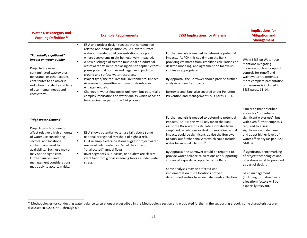| <b>Water Use Category and</b><br><b>Working Definition</b> <sup>11</sup>                                                                                                                                                                                                                                           | <b>Example Requirements</b>                                                                                                                                                                                                                                                                                                                                                                                                                                                                                                                                                                                                                                                                                                                                 | <b>ESS3 Implications for Analysis</b>                                                                                                                                                                                                                                                                                                                                                                                                                                                                                                                                                                                                                               | <b>Implications for</b><br><b>Mitigation and</b><br><b>Management</b>                                                                                                                                                                                                                                                                                                                                                                                                       |
|--------------------------------------------------------------------------------------------------------------------------------------------------------------------------------------------------------------------------------------------------------------------------------------------------------------------|-------------------------------------------------------------------------------------------------------------------------------------------------------------------------------------------------------------------------------------------------------------------------------------------------------------------------------------------------------------------------------------------------------------------------------------------------------------------------------------------------------------------------------------------------------------------------------------------------------------------------------------------------------------------------------------------------------------------------------------------------------------|---------------------------------------------------------------------------------------------------------------------------------------------------------------------------------------------------------------------------------------------------------------------------------------------------------------------------------------------------------------------------------------------------------------------------------------------------------------------------------------------------------------------------------------------------------------------------------------------------------------------------------------------------------------------|-----------------------------------------------------------------------------------------------------------------------------------------------------------------------------------------------------------------------------------------------------------------------------------------------------------------------------------------------------------------------------------------------------------------------------------------------------------------------------|
| "Potentially significant"<br>impact on water quality<br>Projected release of<br>contaminated wastewater,<br>pollutants, or other actions<br>contributes to an adverse<br>reduction in viability and type<br>of use (human needs and<br>ecosystems)                                                                 | ESIA and project design suggest that construction<br>$\blacksquare$<br>related non-point pollution could elevate surface<br>water suspended solid concentrations to a point<br>where ecosystems might be negatively impacted.<br>A new discharge of treated municipal or industrial<br>٠<br>wastewater effluent (replacing on-site septic systems)<br>poses potential positive and negative impacts on<br>ground and surface water resources.<br>$\blacksquare$<br>Project type/size requires full Environmental Impact<br>Assessment, permitting with major stakeholder<br>engagement, etc.<br>Changes in water flow poses unknown but potentially<br>٠<br>complex implications on water quality which needs to<br>be examined as part of the ESA process. | Further analysis is needed to determine potential<br>impacts. At PCN this could mean the Bank<br>providing estimates from simplified calculations or<br>desktop modeling, and agreement on follow-up<br>studies as appropriate.<br>By Appraisal, the Borrower should provide further<br>analysis on quality impacts.<br>Borrower and Bank also covered under Pollution<br>Prevention and Management ESS3 paras 11-14                                                                                                                                                                                                                                                | While ESS3 on Water Use<br>mentions mitigating<br>measures such as nonpoint<br>controls for runoff and<br>wastewater treatment, a<br>more complete presentation<br>of measures is included in<br>ESS3 paras. 11-14.                                                                                                                                                                                                                                                         |
| "High water demand"<br>Projects which require or<br>affect relatively high amounts<br>of water use considering<br>sectoral and locational<br>context compared to<br>availability. Such use may or<br>may not be significant.<br>Further analysis and<br>management considerations<br>may apply to ascertain risks. | ESIA shows potential water use falls above some<br>٠<br>national or regional threshold of highest risk.<br>ESIA or simplified calculations suggest project water<br>٠<br>use would eliminate most/all of the current<br>"unallocated" annual flows.<br>River segments, sub-basins, or aquifers are clearly<br>٠<br>identified from global screening tools as under water<br>stress.                                                                                                                                                                                                                                                                                                                                                                         | Further analysis is needed to determine potential<br>impacts. At PCN this will likely mean the Bank<br>assist the Borrower to calculate estimates from<br>simplified calculations or desktop modeling, and if<br>impacts could be significant, advise the Borrower<br>to carry-out further analyses which could include<br>water balance calculations <sup>16</sup> .<br>By Appraisal the Borrower would be required to<br>provide water balance calculations and supporting<br>studies of a quality acceptable to the Bank<br>Some analyses may be deferred until<br>implementation if site locations not yet<br>determined and/or baseline date needs collection. | Similar to that described<br>above for "potentially<br>significant water use", but<br>with even further emphasis<br>required to assess<br>significance and document<br>and adopt higher levels of<br>water efficiency (as per ESS3<br>GN8.3).<br>If significant, benchmarking<br>of project technologies and<br>operations must be provided<br>as part of design.<br>Basin management<br>(including formalized water<br>allocation) factors will be<br>especially relevant. |

<sup>&</sup>lt;sup>16</sup> Methodologies for conducting water balance calculations are described in the Methodology section and elucidated further in the supporting e-book; some characteristics are discussed in ESS3 GN8.1 through 8.3.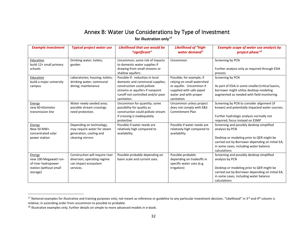# Annex B: Water Use Considerations by Type of Investment

**for illustration only<sup>17</sup>** 

<span id="page-37-0"></span>

| <b>Example investment</b>                                                                    | <b>Typical project water use</b>                                                                       | Likelihood that use would be<br>"significant"                                                                                                                                           | Likelihood of "high-<br>water demand"                                                                                                                  | <b>Example scope of water use analysis by</b><br>project phase <sup>18</sup>                                                                                                                                            |
|----------------------------------------------------------------------------------------------|--------------------------------------------------------------------------------------------------------|-----------------------------------------------------------------------------------------------------------------------------------------------------------------------------------------|--------------------------------------------------------------------------------------------------------------------------------------------------------|-------------------------------------------------------------------------------------------------------------------------------------------------------------------------------------------------------------------------|
| Education<br>build 12+ small primary<br>schools                                              | Drinking water; toilets;<br>garden                                                                     | Uncommon; some risk of impacts<br>to domestic water supplies if<br>drawing from small streams or<br>shallow aquifers                                                                    | Uncommon                                                                                                                                               | Screening by PCN<br>Further analysis only as required through ESIA<br>process                                                                                                                                           |
| Education<br>build a major university<br>campus                                              | Laboratories; housing; toilets;<br>drinking water; communal<br>dining; maintenance                     | Possible if: reduction in local<br>domestic and communal supplies;<br>construction could pollute<br>streams or aquifers if nonpoint<br>runoff not controlled and/or poor<br>sanitation. | Possible; for example, if<br>relying on small watershed<br>or aquifer. Uncommon if<br>supplied with safe piped<br>water and with proper<br>sanitation. | Screening by PCN<br>As part of ESIA in some smaller/critical basins,<br>borrower might utilize desktop modeling<br>augmented as needed with field monitoring.                                                           |
| Energy<br>new 60-kilometer<br>transmission line                                              | Water newly seeded area;<br>possible stream crossings<br>need protection.                              | Uncommon for quantity; some<br>possibility for quality as<br>construction could pollute stream<br>if crossing is inadequately<br>protective                                             | Uncommon unless project<br>does not comply with E&S<br><b>Commitment Plan</b>                                                                          | Screening by PCN to consider alignment (if<br>known) and potentially impacted water courses.<br>Further hydrologic analysis normally not<br>required; focus instead on ESMP                                             |
| Energy<br>New 50 MW+<br>concentrated solar<br>power station                                  | Depending on technology,<br>may require water for steam<br>generation, cooling and<br>cleaning mirrors | Possible if water needs are<br>relatively high compared to<br>availability.                                                                                                             | Possible if water needs are<br>relatively high compared to<br>availability.                                                                            | Screening and possibly desktop simplified<br>analysis by PCN<br>Desktop or modeling prior to QER might be<br>carried out by Borrower depending on initial EA;<br>in some cases, including water balance<br>calculations |
| Energy<br>new 100-Megawatt run-<br>of-river hydropower<br>station (without small<br>storage) | Construction will require river<br>diversion; operating regime<br>can impact ecosystem<br>services.    | Possible-probable depending on<br>basin scale and current uses.                                                                                                                         | Possible-probable<br>depending on tradeoffs in<br>specific water uses (e.g.<br>irrigation)                                                             | Screening and possibly desktop simplified<br>analysis by PCN<br>Desktop or modeling prior to QER might be<br>carried out by Borrower depending on initial EA;<br>in some cases, including water balance<br>calculations |

<sup>&</sup>lt;sup>17</sup> Notional examples for illustrative and training purposes only; not meant as reference or guideline to any particular investment decision. "Likelihood" in 3<sup>rd</sup> and 4<sup>th</sup> column is relative; in ascending order from uncommon to possible to probable.

<sup>&</sup>lt;sup>18</sup> Illustrative examples only; further details on simple to more advanced models in e-book.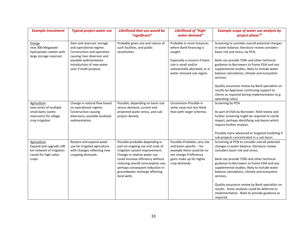| <b>Example investment</b>                                                                                  | <b>Typical project water use</b>                                                                                                                                                                    | <b>Likelihood that use would be</b><br>"significant"                                                                                                                                                                                                                                                | Likelihood of "high-<br>water demand"                                                                                                                                                     | <b>Example scope of water use analysis by</b><br>project phase <sup>18</sup>                                                                                                                                                                                                                                                                                                                                                                                                                                          |
|------------------------------------------------------------------------------------------------------------|-----------------------------------------------------------------------------------------------------------------------------------------------------------------------------------------------------|-----------------------------------------------------------------------------------------------------------------------------------------------------------------------------------------------------------------------------------------------------------------------------------------------------|-------------------------------------------------------------------------------------------------------------------------------------------------------------------------------------------|-----------------------------------------------------------------------------------------------------------------------------------------------------------------------------------------------------------------------------------------------------------------------------------------------------------------------------------------------------------------------------------------------------------------------------------------------------------------------------------------------------------------------|
| Energy<br>new 300-Megawatt<br>hydropower station with<br>large storage reservoir                           | Dam and reservoir storage<br>and operational regime.<br>Construction and operation<br>causing river diversion and<br>possible sedimentation.<br>Introduction of new water<br>uses if multi-purpose. | Probable given size and nature of<br>such facilities, and public<br>sensitivities.                                                                                                                                                                                                                  | Probable in most instances<br>where Bank financing is<br>sought.<br>Especially a concern if basin<br>size is small and/or<br>substantially allocated, or in<br>water stressed sub-region. | Screening to consider overall potential changes<br>in water balance; literature review considers<br>basin risk and stress; by PCN.<br>Bank can provide TORs and other technical<br>guidance to Borrowers to frame ESIA and any<br>supplemental studies; likely to include water<br>balance calculations, climate and ecosystem<br>services.<br>Quality assurance review by Bank specialists on<br>results by Appraisal; continuing support to<br>clients as required during implementation (e.g.<br>operating rules). |
| Agriculture<br>new series of multiple<br>small dams (some<br>reservoirs) for village<br>crop irrigation    | Change in natural flow based<br>on operational regime.<br>Construction causing<br>diversions; possible localized<br>sedimentation.                                                                  | Possible; depending on basin size<br>versus demand, current and<br>projected water stress, and sub-<br>project density.                                                                                                                                                                             | Uncommon-Possible in<br>some cases but less likely<br>than with larger schemes.                                                                                                           | Screening by PCN<br>As part of ESIA by Borrower, field review and<br>further screening might be required to clarify<br>impact; perhaps identifying sub-basins which<br>require further analysis.<br>Possibly more advanced or targeted modeling if<br>sub-projects concentrated in a sub-basin.                                                                                                                                                                                                                       |
| <b>Agriculture</b><br>Expand and upgrade 100<br>km network of irrigation<br>canals for high value<br>crops | Restore and expand water<br>use for irrigated agriculture<br>with changes reflecting new<br>cropping demands.                                                                                       | Possible-probable depending in<br>part on ongoing use and scale of<br>irrigation system improvement.<br>Change in relative water use<br>could increase efficiency without<br>reducing overall consumptive use;<br>perhaps consequent reduction in<br>groundwater recharge affecting<br>local wells. | Possible-Probable; very site<br>and basin-specific -- for<br>example there could be no<br>net change if efficiency<br>gains make up for higher<br>crop demands.                           | Screening at PCN to consider overall potential<br>changes in water balance; literature review<br>considers basin risk and stress.<br>Bank can provide TORs and other technical<br>guidance to Borrowers to frame ESIA and any<br>supplemental studies; likely to include water<br>balance calculations, climate and ecosystem<br>services.<br>Quality assurance review by Bank specialists on<br>results. Some analyses could be deferred to<br>implementation. Bank to provide guidance as<br>required.              |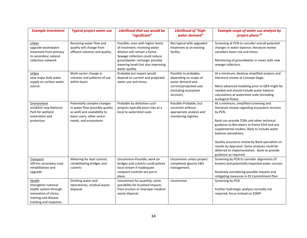| <b>Example investment</b>                                                                                                          | <b>Typical project water use</b>                                                                                                                     | Likelihood that use would be<br>"significant"                                                                                                                                                                                    | Likelihood of "high-<br>water demand"                                                                                              | <b>Example scope of water use analysis by</b><br>project phase <sup>18</sup>                                                                                                                                                                                                                                                                                                                                                                         |
|------------------------------------------------------------------------------------------------------------------------------------|------------------------------------------------------------------------------------------------------------------------------------------------------|----------------------------------------------------------------------------------------------------------------------------------------------------------------------------------------------------------------------------------|------------------------------------------------------------------------------------------------------------------------------------|------------------------------------------------------------------------------------------------------------------------------------------------------------------------------------------------------------------------------------------------------------------------------------------------------------------------------------------------------------------------------------------------------------------------------------------------------|
| Urban<br>upgrade wastewater<br>treatment from primary<br>to secondary; extend<br>collection network                                | Receiving water flow and<br>quality will change from<br>effluent volumes and quality.                                                                | Possible; even with higher levels<br>of treatment, receiving water<br>dilution will remain a factor.<br>Sewage collection could reduce<br>groundwater recharge; possibly<br>lowering levels but also improving<br>water quality. | Not typical with upgraded<br>treatment at an existing<br>facility                                                                  | Screening at PCN to consider overall potential<br>changes in water balance; literature review<br>considers basin risk and stress.<br>Monitoring of groundwater in zones with new<br>sewage collectors.                                                                                                                                                                                                                                               |
| Urban<br>new major bulk water<br>supply on surface water<br>source.                                                                | Multi-sector change in<br>volumes and patterns of use<br>within basin.                                                                               | Probable but impact would<br>depend on current and projected<br>water use and stress.                                                                                                                                            | Possible to probable;<br>depending on scope of<br>water demand and<br>current/projected uses<br>(including ecosystem<br>services). | At a minimum, desktop simplified analysis and<br>literature review at Concept Stage.<br>More advanced modeling prior to QER might be<br>needed and should include water balance<br>calculations at watershed scale (including<br>ecological flows)                                                                                                                                                                                                   |
| Environment<br>establish new National<br>Park for wetland<br>restoration and<br>protection                                         | Potentially complex changes<br>in water flow (possibly quality<br>as well) and availability to<br>basin users, other sector<br>needs, and ecosystems | Probable by definition such<br>projects typically pose risks at a<br>local to watershed scale.                                                                                                                                   | Possible-Probable, but<br>uncertain without<br>appropriate analysis and<br>monitoring regimes.                                     | At a minimum, simplified screening and<br>literature review regarding ecosystem services<br>by PCN.<br>Bank can provide TORs and other technical<br>guidance to Borrowers to frame ESIA and any<br>supplemental studies; likely to include water<br>balance calculations.<br>Quality assurance review by Bank specialists on<br>results by Appraisal. Some analyses could be<br>deferred to implementation. Bank to provide<br>guidance as required. |
| Transport<br>100 km secondary road<br>rehabilitation and<br>upgrade                                                                | Watering for dust control;<br>rehabilitating bridges and<br>culverts                                                                                 | Uncommon-Possible; work on<br>bridges and culverts could pollute<br>local stream if inadequate<br>nonpoint controls are put in<br>place.                                                                                         | Uncommon unless project<br>completely ignores E&S<br>management.                                                                   | Screening by PCN to consider alignments (if<br>known) and potentially impacted water courses.<br>Routinely considering possible impacts and<br>mitigating measures in ES Commitment Plan                                                                                                                                                                                                                                                             |
| Health<br>Strengthen national<br>health system through<br>renovation of clinics,<br>training and disease<br>tracking and response. | Drinking water and<br>laboratories, medical waste<br>disposal.                                                                                       | Uncommon for quantity; some<br>possibility for localized impacts<br>from erosion or improper medical<br>waste disposal.                                                                                                          | Uncommon                                                                                                                           | Screening by PCN<br>Further hydrologic analysis normally not<br>required; focus instead on ESMP                                                                                                                                                                                                                                                                                                                                                      |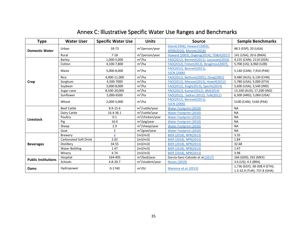<span id="page-40-0"></span>

| Type                       | <b>Water User</b>            | <b>Specific Water Use</b> | <b>Units</b>                 | <b>Source</b>                                            | <b>Sample Benchmarks</b>                                    |
|----------------------------|------------------------------|---------------------------|------------------------------|----------------------------------------------------------|-------------------------------------------------------------|
| <b>Domestic Water</b>      | Urban                        | 18-73                     | $m^3$ /person/year           | Gleick(1996), Howard (2003),<br>AfDB(2016), Morote(2016) | 48.5 (ESP); 20 (UGA)                                        |
|                            | Rural                        | $7 - 18$                  | $m^3$ /person/year           | Howard (2003), Oageng(2014), TD&H(2017)                  | 141 (USA); 20.6 (BWA)                                       |
|                            | Barley                       | 1,000-5,000               | $m^3/ha$                     | FAO(2012), Bennett(2011), Laouisset(2016)                | 4,155 (CAN); 2110 (DZA)                                     |
|                            | Cotton                       | 4,100-7,800               | $m^3/ha$                     | FAO(2012), Fisher(2012), Ibragimov(2007)                 | 5,700 (US); 6,960 (UZB)                                     |
|                            | Maize                        | 5,000-8,000               | $m^3/ha$                     | FAO(2012), Bennett(2011),<br><b>IUCN (2006)</b>          | 5,140 (CAN); 7,910 (PAK)                                    |
|                            | Rice                         | 4,000-11,000              | $m^3/ha$                     | FAO(2012), Bethune(2001), Dong(2001)                     | 9,480 (AUS); 6,130 (CHN)                                    |
| Crop                       | Sorghum                      | 4,500-7000                | $m^3/ha$                     | FAO(2012), Manaze(2013), Howell(2012)                    | 5,780 (USA); 5,000 (ETH)                                    |
|                            | Soybean                      | 3,000-8,000               | $m^3/ha$                     | FAO(2012), Singh(2013), Specht(2014)                     | 5,600 (USA); 3,540 (IND)                                    |
|                            | Sugar cane                   | 8,500-20,000              | $m^3/ha$                     | FAO(2012), Kumar(2012), SRA(2014)                        | 13,100 (AUS); 17,200 (IND)                                  |
|                            | Sunflower                    | 5,000-6500                | $m^3/ha$                     | FAO(2012), Sadras (2012), Tolk(2011)                     | 6,300 (ARG); 5,060 (USA)                                    |
|                            | Wheat                        | 2,000-5,000               | $m^3/ha$                     | FAO(2012), Bennett(2011),<br><b>IUCN (2006)</b>          | 5100 (CAN); 5160 (PAK)                                      |
|                            | <b>Beef Cattle</b>           | $8.9 - 15.6$              | m <sup>3</sup> /cattle/year  | <b>Water Footprint (2010)</b>                            | <b>NA</b>                                                   |
|                            | Dairy Cattle                 | 16.4-36.1                 | m <sup>3</sup> /cattle/year  | Water Footprint (2010)                                   | <b>NA</b>                                                   |
|                            | Poultry                      | 0.1                       | m <sup>3</sup> /chicken/year | <b>Water Footprint (2010)</b>                            | <b>NA</b>                                                   |
| Livestock                  | Pig                          | 16.4                      | $m^3$ /pig/year              | <b>Water Footprint (2010)</b>                            | <b>NA</b>                                                   |
|                            | Sheep                        | 2.9                       | $m^3$ /sheep/year            | <b>Water Footprint (2010)</b>                            | <b>NA</b>                                                   |
|                            | Goat                         | 2                         | $m^3$ /goat/year             | <b>Water Footprint (2010)</b>                            | <b>NA</b>                                                   |
|                            | <b>Brewery</b>               | 4                         | (m3/m3)                      | BIER (2018), NPR(2013)                                   | 3.35                                                        |
| <b>Beverages</b>           | <b>Carbonated Soft Drink</b> | 2.02                      | (m3/m3)                      | BIER (2018), NPR(2013)                                   | 1.84                                                        |
|                            | Distillery                   | 34.55                     | (m3/m3)                      | BIER (2018), NPR(2013)                                   | 32.68                                                       |
|                            | <b>Water Bottling</b>        | 1.47                      | (m3/m3)                      | BIER (2018), NPR(2013)                                   | 1.47                                                        |
|                            | Winerv                       | 4.74                      | (m3/m3)                      | BIER (2018), NPR(2013)                                   | 3.98                                                        |
| <b>Public Institutions</b> | Hospital                     | 164-405                   | $m^3/b$ ed/year              | García-Sanz-Calcedo et al.(2017)                         | 166 (GER); 292 (MEX)                                        |
|                            | Schools                      | $4.8 - 20.7$              | m <sup>3</sup> /student/year | <b>Nunes (2019)</b>                                      | 3.6 (US); 4.5 (BRA)                                         |
| Dams                       | Hydropower                   | $0 - 1740$                | $m^3/GJ$                     | Marence et al. (2013)                                    | 1,736 (EGY); 38-208.4 (ETH);<br>1.3-32.9 (TUR); 737.8 (GHA) |